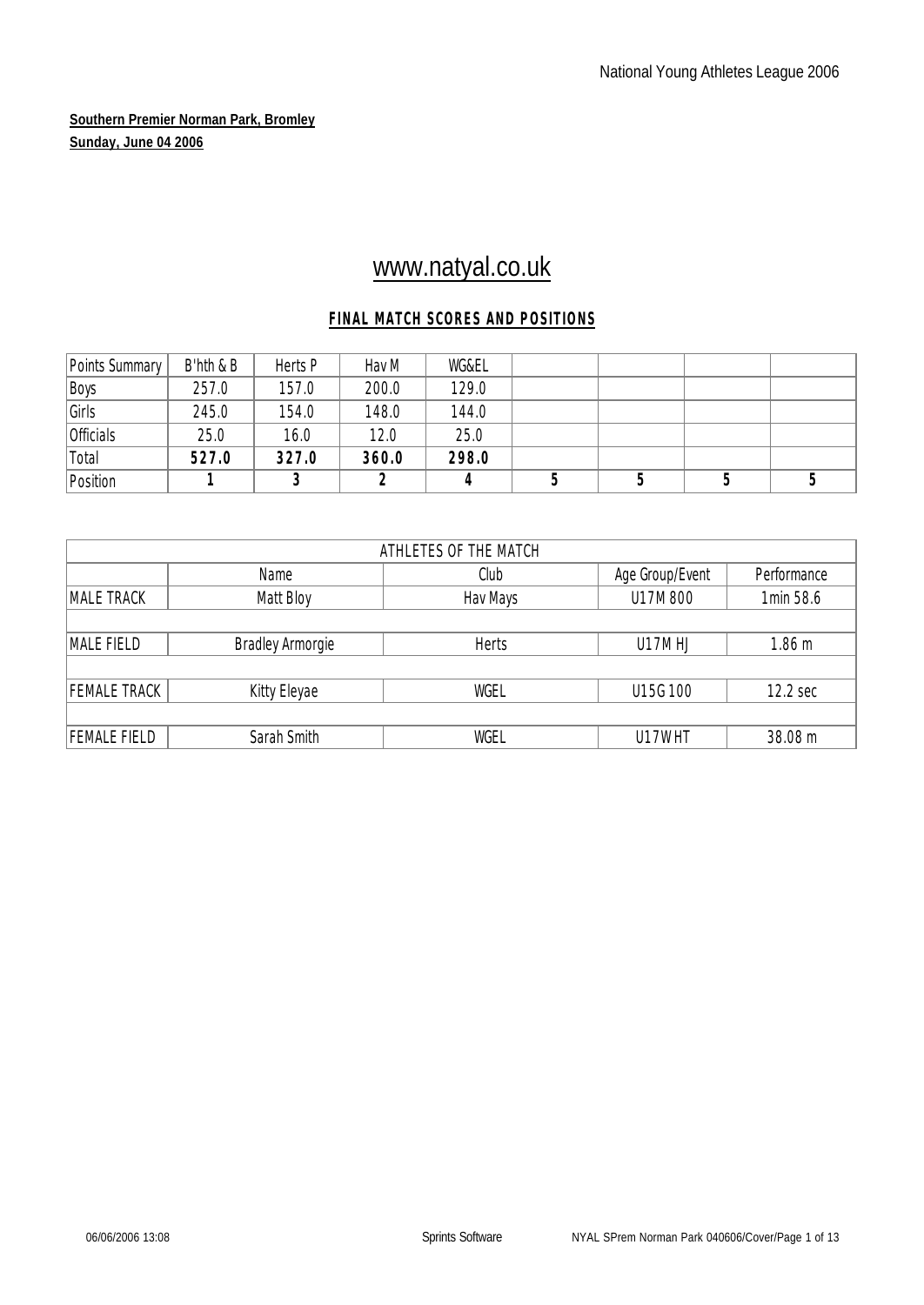# www.natyal.co.uk

## **FINAL MATCH SCORES AND POSITIONS**

| Points Summary | B'hth & B | Herts P | Hav M | WG&EL |  |  |
|----------------|-----------|---------|-------|-------|--|--|
| Boys           | 257.0     | 157.0   | 200.0 | 129.0 |  |  |
| Girls          | 245.0     | 154.0   | 148.0 | 144.0 |  |  |
| Officials      | 25.0      | 16.0    | 12.0  | 25.0  |  |  |
| Total          | 527.0     | 327.0   | 360.0 | 298.0 |  |  |
| Position       |           |         |       |       |  |  |

| ATHLETES OF THE MATCH                          |                         |              |          |                   |  |  |  |  |  |  |  |
|------------------------------------------------|-------------------------|--------------|----------|-------------------|--|--|--|--|--|--|--|
| Age Group/Event<br>Performance<br>Name<br>Club |                         |              |          |                   |  |  |  |  |  |  |  |
| MALE TRACK                                     | Matt Bloy               | Hav Mays     | U17M 800 | 1min 58.6         |  |  |  |  |  |  |  |
|                                                |                         |              |          |                   |  |  |  |  |  |  |  |
| MALE FIELD                                     | <b>Bradley Armorgie</b> | <b>Herts</b> | U17MHJ   | 1.86 <sub>m</sub> |  |  |  |  |  |  |  |
|                                                |                         |              |          |                   |  |  |  |  |  |  |  |
| <b>FEMALE TRACK</b>                            | Kitty Eleyae            | WGEL         | U15G 100 | 12.2 sec          |  |  |  |  |  |  |  |
|                                                |                         |              |          |                   |  |  |  |  |  |  |  |
| <b>FEMALE FIELD</b>                            | Sarah Smith             | WGEL         | U17WHT   | 38.08 m           |  |  |  |  |  |  |  |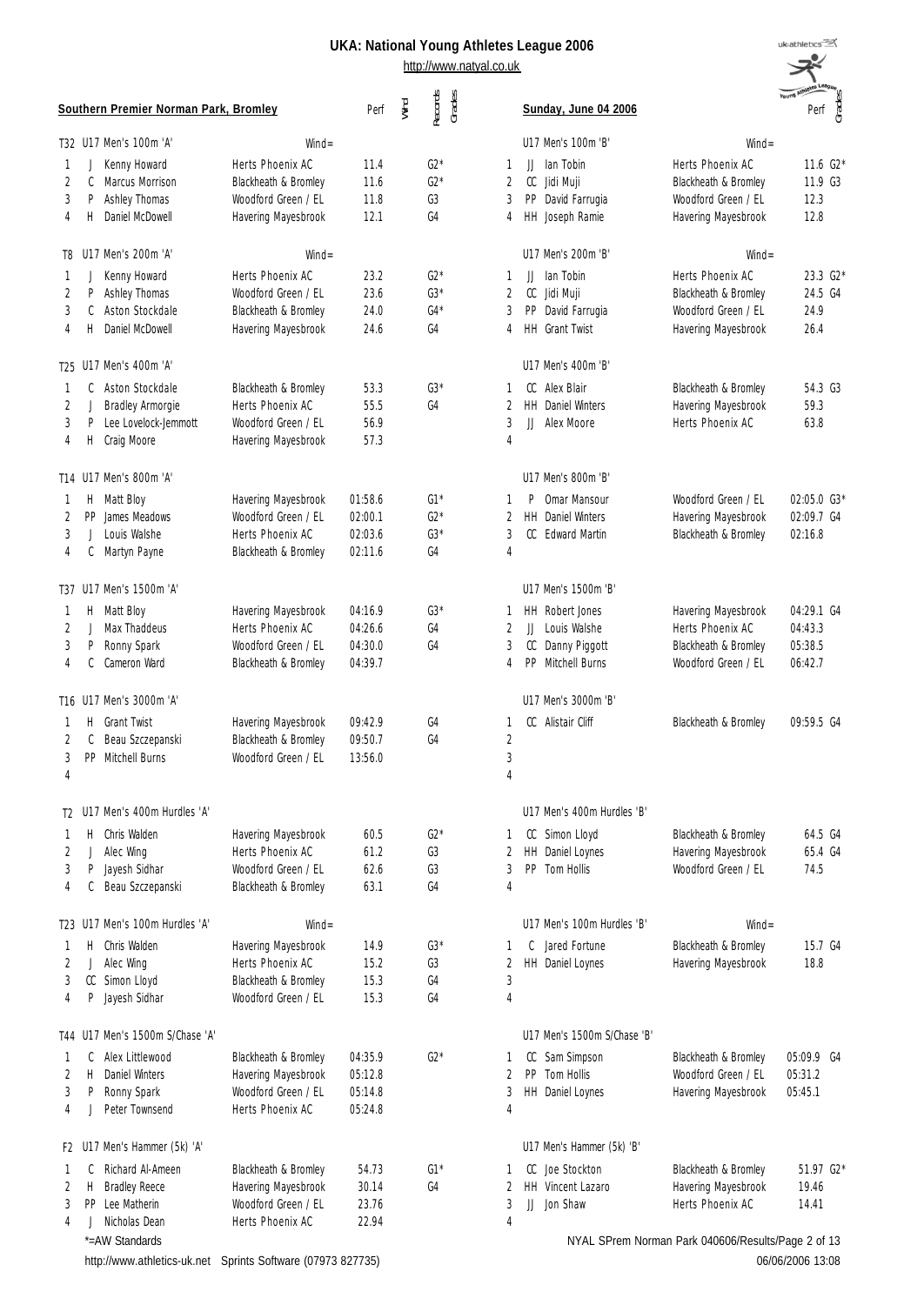#### **UKA: National Young Athletes League 2006** http://www.natyal.co.uk

uk<sub>athletics</sub> بعجير Perf<br>Grades

|                |     | Southern Premier Norman Park, Bromley |                      | Perf    | Wind | Records<br>Grades |                | Sunday, June 04 2006        |                                                    | Perf<br>Grades |
|----------------|-----|---------------------------------------|----------------------|---------|------|-------------------|----------------|-----------------------------|----------------------------------------------------|----------------|
|                |     | T32 U17 Men's 100m 'A'                | $Wind =$             |         |      |                   |                | U17 Men's 100m 'B'          | $Wind =$                                           |                |
| 1              | J   | Kenny Howard                          | Herts Phoenix AC     | 11.4    |      | $G2*$             | 1              | lan Tobin<br>IJ             | Herts Phoenix AC                                   | 11.6 $G2*$     |
| $\overline{2}$ | C   | Marcus Morrison                       | Blackheath & Bromley | 11.6    |      | $62*$             | 2              | ${\rm CC}$<br>Jidi Muji     | Blackheath & Bromley                               | 11.9 G3        |
| 3              | P   | Ashley Thomas                         | Woodford Green / EL  | 11.8    |      | G3                | 3              | PP<br>David Farrugia        | Woodford Green / EL                                | 12.3           |
| 4              | H.  | Daniel McDowell                       | Havering Mayesbrook  | 12.1    |      | G4                | 4              | HH Joseph Ramie             | Havering Mayesbrook                                | 12.8           |
| T8             |     | U17 Men's 200m 'A'                    | $Wind =$             |         |      |                   |                | U17 Men's 200m 'B'          | $Wind =$                                           |                |
| 1              | J   | Kenny Howard                          | Herts Phoenix AC     | 23.2    |      | $G2*$             | 1              | IJ<br>lan Tobin             | Herts Phoenix AC                                   | 23.3 G2*       |
| 2              | P   | Ashley Thomas                         | Woodford Green / EL  | 23.6    |      | $G3*$             | 2              | CC<br>Jidi Muji             | Blackheath & Bromley                               | 24.5 G4        |
| 3              | C   | Aston Stockdale                       | Blackheath & Bromley | 24.0    |      | $G4*$             | 3              | PP<br>David Farrugia        | Woodford Green / EL                                | 24.9           |
| 4              | Н   | Daniel McDowell                       | Havering Mayesbrook  | 24.6    |      | G4                | 4              | HH Grant Twist              | Havering Mayesbrook                                | 26.4           |
|                |     | T25 U17 Men's 400m 'A'                |                      |         |      |                   |                | U17 Men's 400m 'B'          |                                                    |                |
| 1              | C   | Aston Stockdale                       | Blackheath & Bromley | 53.3    |      | $G3*$             | 1              | CC<br>Alex Blair            | Blackheath & Bromley                               | 54.3 G3        |
| $\overline{2}$ |     | Bradley Armorgie                      | Herts Phoenix AC     | 55.5    |      | G4                | 2              | HH.<br>Daniel Winters       | Havering Mayesbrook                                | 59.3           |
| 3              | P   | Lee Lovelock-Jemmott                  | Woodford Green / FL  | 56.9    |      |                   | 3              | IJ<br>Alex Moore            | Herts Phoenix AC                                   | 63.8           |
| 4              | Н   | Craig Moore                           | Havering Mayesbrook  | 57.3    |      |                   | 4              |                             |                                                    |                |
|                |     | T14 U17 Men's 800m 'A'                |                      |         |      |                   |                | U17 Men's 800m 'B'          |                                                    |                |
| 1              |     | H Matt Bloy                           | Havering Mayesbrook  | 01:58.6 |      | $G1*$             | 1              | Omar Mansour<br>P           | Woodford Green / EL                                | 02:05.0 G3*    |
| 2              | PP  | James Meadows                         | Woodford Green / EL  | 02:00.1 |      | $G2*$             | 2              | HH.<br>Daniel Winters       | Havering Mayesbrook                                | 02:09.7 G4     |
| 3              |     | Louis Walshe                          | Herts Phoenix AC     | 02:03.6 |      | $G3*$             | 3              | CC<br><b>Fdward Martin</b>  | Blackheath & Bromley                               | 02:16.8        |
| 4              | C   | Martyn Payne                          | Blackheath & Bromley | 02:11.6 |      | G4                | 4              |                             |                                                    |                |
|                |     | T37 U17 Men's 1500m 'A'               |                      |         |      |                   |                | U17 Men's 1500m 'B'         |                                                    |                |
| 1              | Н.  | Matt Bloy                             | Havering Mayesbrook  | 04:16.9 |      | $G3*$             | 1              | HH Robert Jones             | Havering Mayesbrook                                | 04:29.1 G4     |
| $\overline{2}$ | J   | Max Thaddeus                          | Herts Phoenix AC     | 04:26.6 |      | G4                | $\overline{2}$ | IJ<br>Louis Walshe          | Herts Phoenix AC                                   | 04:43.3        |
| 3              | P   | Ronny Spark                           | Woodford Green / EL  | 04:30.0 |      | G4                | 3              | CC<br>Danny Piggott         | Blackheath & Bromley                               | 05:38.5        |
| 4              | C   | Cameron Ward                          | Blackheath & Bromley | 04:39.7 |      |                   | 4              | PP<br>Mitchell Burns        | Woodford Green / EL                                | 06:42.7        |
|                |     | T16 U17 Men's 3000m 'A'               |                      |         |      |                   |                | U17 Men's 3000m 'B'         |                                                    |                |
| 1              | Н.  | <b>Grant Twist</b>                    | Havering Mayesbrook  | 09:42.9 |      | G4                | 1              | CC Alistair Cliff           | Blackheath & Bromley                               | 09:59.5 G4     |
| 2              | C   | Beau Szczepanski                      | Blackheath & Bromley | 09:50.7 |      | G4                | $\overline{2}$ |                             |                                                    |                |
| $\sqrt{3}$     | PP  | Mitchell Burns                        | Woodford Green / EL  | 13:56.0 |      |                   | $\sqrt{3}$     |                             |                                                    |                |
| 4              |     |                                       |                      |         |      |                   | $\overline{4}$ |                             |                                                    |                |
|                |     | T2 U17 Men's 400m Hurdles 'A'         |                      |         |      |                   |                | U17 Men's 400m Hurdles 'B'  |                                                    |                |
| 1              | H.  | Chris Walden                          | Havering Mayesbrook  | 60.5    |      | $G2*$             | 1              | CC Simon Lloyd              | Blackheath & Bromley                               | 64.5 G4        |
| 2              |     | Alec Wing                             | Herts Phoenix AC     | 61.2    |      | G3                | 2              | <b>HH</b><br>Daniel Loynes  | Havering Mayesbrook                                | 65.4 G4        |
| 3              | P   | Jayesh Sidhar                         | Woodford Green / EL  | 62.6    |      | G3                | 3              | Tom Hollis<br><b>PP</b>     | Woodford Green / FL                                | 74.5           |
| 4              | C   | Beau Szczepanski                      | Blackheath & Bromley | 63.1    |      | G4                | $\overline{4}$ |                             |                                                    |                |
|                |     | T23 U17 Men's 100m Hurdles 'A'        | $Wind =$             |         |      |                   |                | U17 Men's 100m Hurdles 'B'  | $Wind =$                                           |                |
| 1              | H.  | Chris Walden                          | Havering Mayesbrook  | 14.9    |      | $G3*$             | 1              | Jared Fortune<br>C          | Blackheath & Bromley                               | 15.7 G4        |
| 2              |     | Alec Wing                             | Herts Phoenix AC     | 15.2    |      | G3                | 2              | HH Daniel Loynes            | Havering Mayesbrook                                | 18.8           |
| 3              |     | CC Simon Lloyd                        | Blackheath & Bromley | 15.3    |      | G4                | 3              |                             |                                                    |                |
| 4              | P   | Jayesh Sidhar                         | Woodford Green / EL  | 15.3    |      | G4                | $\overline{4}$ |                             |                                                    |                |
|                |     | T44 U17 Men's 1500m S/Chase 'A'       |                      |         |      |                   |                | U17 Men's 1500m S/Chase 'B' |                                                    |                |
| 1              | C   | Alex Littlewood                       | Blackheath & Bromley | 04:35.9 |      | $G2*$             | 1              | Sam Simpson<br>CC           | Blackheath & Bromley                               | 05:09.9 G4     |
| 2              | Н   | <b>Daniel Winters</b>                 | Havering Mayesbrook  | 05:12.8 |      |                   | 2              | PP<br>Tom Hollis            | Woodford Green / EL                                | 05:31.2        |
| 3              | P   | Ronny Spark                           | Woodford Green / EL  | 05:14.8 |      |                   | 3              | HH Daniel Loynes            | Havering Mayesbrook                                | 05:45.1        |
| 4              |     | Peter Townsend                        | Herts Phoenix AC     | 05:24.8 |      |                   | 4              |                             |                                                    |                |
|                |     | F2 U17 Men's Hammer (5k) 'A'          |                      |         |      |                   |                | U17 Men's Hammer (5k) 'B'   |                                                    |                |
| 1              | C   | Richard Al-Ameen                      | Blackheath & Bromley | 54.73   |      | $G1*$             | 1              | CC Joe Stockton             | Blackheath & Bromley                               | 51.97 G2*      |
| 2              | Н   | <b>Bradley Reece</b>                  | Havering Mayesbrook  | 30.14   |      | G4                | 2              | HH.<br>Vincent Lazaro       | Havering Mayesbrook                                | 19.46          |
| 3              | PP. | Lee Matherin                          | Woodford Green / EL  | 23.76   |      |                   | 3              | JJ<br>Jon Shaw              | Herts Phoenix AC                                   | 14.41          |
| 4              |     | Nicholas Dean                         | Herts Phoenix AC     | 22.94   |      |                   | 4              |                             |                                                    |                |
|                |     | *=AW Standards                        |                      |         |      |                   |                |                             | NYAL SPrem Norman Park 040606/Results/Page 2 of 13 |                |

NYAL SPrem Norman Park 040606/Results/Page 2 of 13 06/06/2006 13:08

http://www.athletics-uk.net Sprints Software (07973 827735)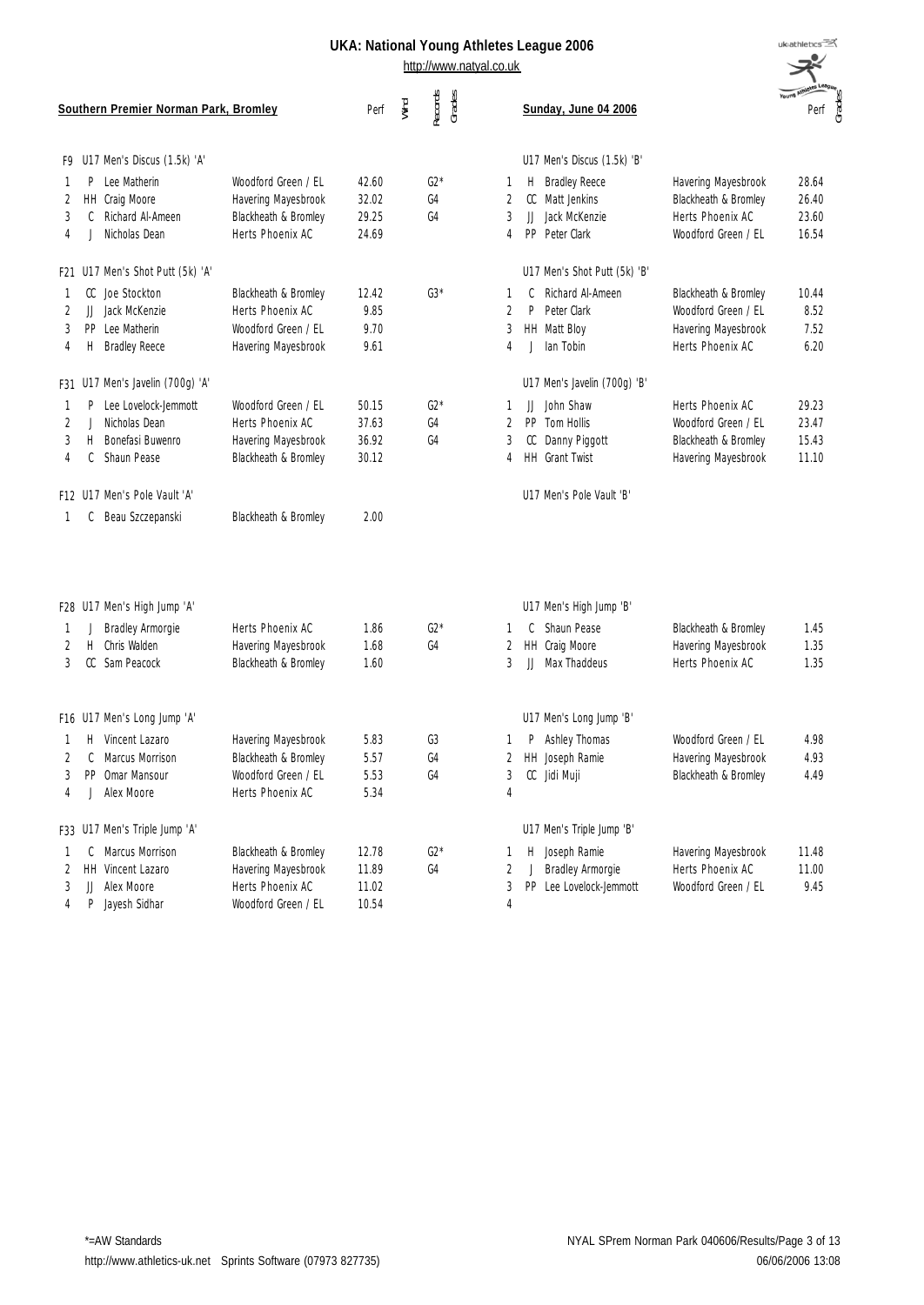|    | Southern Premier Norman Park, Bromley |                                  |                      | Perf  | Wind | Records<br>Grades |   | Sunday, June 04 2006         |                      | Young Athletes Lea<br>Perf |
|----|---------------------------------------|----------------------------------|----------------------|-------|------|-------------------|---|------------------------------|----------------------|----------------------------|
|    |                                       | F9 U17 Men's Discus (1.5k) 'A'   |                      |       |      |                   |   | U17 Men's Discus (1.5k) 'B'  |                      |                            |
| 1  |                                       | P Lee Matherin                   | Woodford Green / EL  | 42.60 |      | $G2*$             | 1 | <b>Bradley Reece</b><br>H    | Havering Mayesbrook  | 28.64                      |
| 2  |                                       | HH Craig Moore                   | Havering Mayesbrook  | 32.02 |      | G4                | 2 | CC Matt Jenkins              | Blackheath & Bromley | 26.40                      |
| 3  |                                       | C Richard Al-Ameen               | Blackheath & Bromley | 29.25 |      | G4                | 3 | Jack McKenzie<br>JJ          | Herts Phoenix AC     | 23.60                      |
| 4  |                                       | Nicholas Dean                    | Herts Phoenix AC     | 24.69 |      |                   | 4 | PP<br>Peter Clark            | Woodford Green / EL  | 16.54                      |
|    |                                       | F21 U17 Men's Shot Putt (5k) 'A' |                      |       |      |                   |   | U17 Men's Shot Putt (5k) 'B' |                      |                            |
| -1 |                                       | CC Joe Stockton                  | Blackheath & Bromley | 12.42 |      | $G3*$             | 1 | Richard Al-Ameen<br>C        | Blackheath & Bromley | 10.44                      |
| 2  |                                       | JJ Jack McKenzie                 | Herts Phoenix AC     | 9.85  |      |                   | 2 | P<br>Peter Clark             | Woodford Green / EL  | 8.52                       |
| 3  |                                       | PP Lee Matherin                  | Woodford Green / EL  | 9.70  |      |                   | 3 | HH Matt Bloy                 | Havering Mayesbrook  | 7.52                       |
| 4  | Η.                                    | <b>Bradley Reece</b>             | Havering Mayesbrook  | 9.61  |      |                   | 4 | lan Tobin                    | Herts Phoenix AC     | 6.20                       |
|    |                                       | F31 U17 Men's Javelin (700g) 'A' |                      |       |      |                   |   | U17 Men's Javelin (700g) 'B' |                      |                            |
| -1 | P.                                    | Lee Lovelock-Jemmott             | Woodford Green / EL  | 50.15 |      | $G2*$             | 1 | John Shaw<br>JJ              | Herts Phoenix AC     | 29.23                      |
| 2  | J.                                    | Nicholas Dean                    | Herts Phoenix AC     | 37.63 |      | G4                | 2 | PP.<br>Tom Hollis            | Woodford Green / EL  | 23.47                      |
| 3  | Н.                                    | Bonefasi Buwenro                 | Havering Mayesbrook  | 36.92 |      | G4                | 3 | CC Danny Piggott             | Blackheath & Bromley | 15.43                      |
| 4  | C                                     | Shaun Pease                      | Blackheath & Bromley | 30.12 |      |                   | 4 | HH Grant Twist               | Havering Mayesbrook  | 11.10                      |
|    |                                       | F12 U17 Men's Pole Vault 'A'     |                      |       |      |                   |   | U17 Men's Pole Vault 'B'     |                      |                            |
| 1  | C                                     | Beau Szczepanski                 | Blackheath & Bromley | 2.00  |      |                   |   |                              |                      |                            |
|    |                                       | F28 U17 Men's High Jump 'A'      |                      |       |      |                   |   | U17 Men's High Jump 'B'      |                      |                            |
| -1 | J                                     | Bradley Armorgie                 | Herts Phoenix AC     | 1.86  |      | $G2*$             | 1 | Shaun Pease<br>C             | Blackheath & Bromley | 1.45                       |
| 2  | Η.                                    | Chris Walden                     | Havering Mayesbrook  | 1.68  |      | G4                | 2 | HH Craig Moore               | Havering Mayesbrook  | 1.35                       |
| 3  |                                       | CC Sam Peacock                   | Blackheath & Bromley | 1.60  |      |                   | 3 | Max Thaddeus<br>H.           | Herts Phoenix AC     | 1.35                       |
|    |                                       | F16 U17 Men's Long Jump 'A'      |                      |       |      |                   |   | U17 Men's Long Jump 'B'      |                      |                            |
| -1 |                                       | H Vincent Lazaro                 | Havering Mayesbrook  | 5.83  |      | G3                |   | Ashley Thomas<br>P           | Woodford Green / EL  | 4.98                       |
| 2  | C                                     | Marcus Morrison                  | Blackheath & Bromley | 5.57  |      | G4                | 2 | HH Joseph Ramie              | Havering Mayesbrook  | 4.93                       |
|    |                                       | PP Omar Mansour                  | Woodford Green / EL  | 5.53  |      | G4                | 3 | CC Jidi Muji                 | Blackheath & Bromley | 4.49                       |
| 4  |                                       | Alex Moore                       | Herts Phoenix AC     | 5.34  |      |                   | 4 |                              |                      |                            |
|    |                                       | F33 U17 Men's Triple Jump 'A'    |                      |       |      |                   |   | U17 Men's Triple Jump 'B'    |                      |                            |
| -1 | C                                     | Marcus Morrison                  | Blackheath & Bromley | 12.78 |      | $G2*$             | 1 | Joseph Ramie<br>Н.           | Havering Mayesbrook  | 11.48                      |
| 2  |                                       | HH Vincent Lazaro                | Havering Mayesbrook  | 11.89 |      | G4                | 2 | Bradley Armorgie<br>J        | Herts Phoenix AC     | 11.00                      |
| 3  | JJ                                    | Alex Moore                       | Herts Phoenix AC     | 11.02 |      |                   | 3 | Lee Lovelock-Jemmott<br>PP.  | Woodford Green / EL  | 9.45                       |
| 4  | P.                                    | Jayesh Sidhar                    | Woodford Green / EL  | 10.54 |      |                   | 4 |                              |                      |                            |
|    |                                       |                                  |                      |       |      |                   |   |                              |                      |                            |

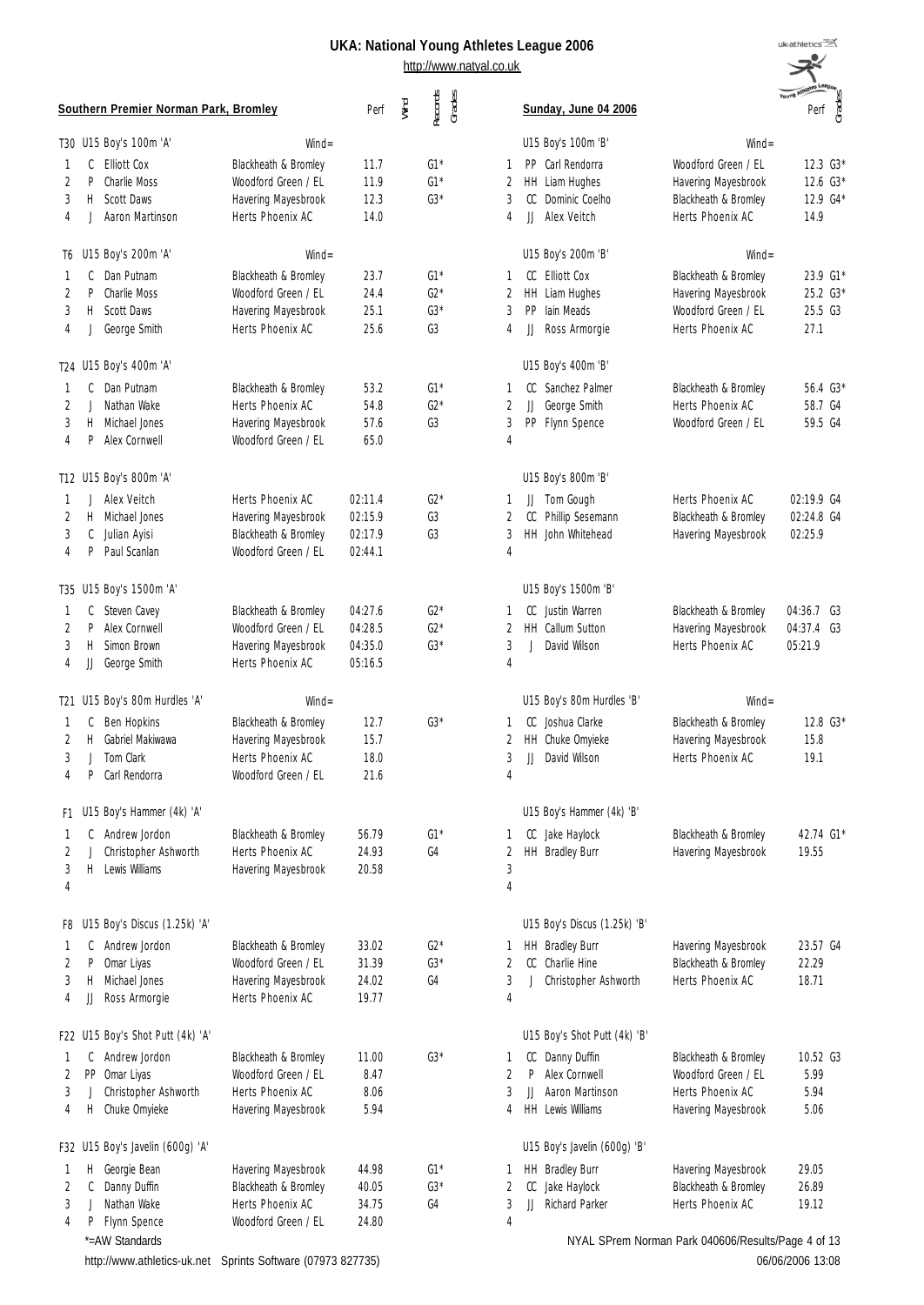http://www.natyal.co.uk

| uk:athletics          |      |         |
|-----------------------|------|---------|
|                       |      |         |
| <b>Young Athleter</b> |      | e<br>⊖S |
|                       | Perf | ᠊ᡣ      |

J.

|                     | Southern Premier Norman Park, Bromley   |                                             | Perf               | Wind | Records<br>Grades |                     | Sunday, June 04 2006                        |                                                    | Young Am<br>Perf<br>Grades |
|---------------------|-----------------------------------------|---------------------------------------------|--------------------|------|-------------------|---------------------|---------------------------------------------|----------------------------------------------------|----------------------------|
|                     | T30 U15 Boy's 100m 'A'                  | $Wind =$                                    |                    |      |                   |                     | U15 Boy's 100m 'B'                          | $Wind =$                                           |                            |
| 1                   | <b>Elliott Cox</b><br>C                 | Blackheath & Bromley                        | 11.7               |      | $G1*$             | 1                   | Carl Rendorra<br>PP.                        | Woodford Green / EL                                | 12.3 G3*                   |
| $\overline{2}$      | <b>Charlie Moss</b><br>P                | Woodford Green / EL                         | 11.9               |      | $G1*$             | 2                   | HH<br>Liam Hughes                           | Havering Mayesbrook                                | 12.6 G3*                   |
| 3<br>$\overline{A}$ | Scott Daws<br>Н<br>Aaron Martinson      | Havering Mayesbrook<br>Herts Phoenix AC     | 12.3<br>14.0       |      | $G3*$             | 3<br>4              | Dominic Coelho<br>CC<br>Alex Veitch<br>IJ   | Blackheath & Bromley<br>Herts Phoenix AC           | 12.9 G4*<br>14.9           |
| T6                  | U15 Boy's 200m 'A'                      | $Wind =$                                    |                    |      |                   |                     | U15 Boy's 200m 'B'                          | $Wind =$                                           |                            |
| 1                   | Dan Putnam<br>C                         | Blackheath & Bromley                        | 23.7               |      | $G1*$             | 1                   | Flliott Cox<br>CC                           | Blackheath & Bromley                               | 23.9 G1*                   |
| $\overline{2}$      | <b>Charlie Moss</b><br>P                | Woodford Green / EL                         | 24.4               |      | $G2*$             | 2                   | HH<br>Liam Hughes                           | Havering Mayesbrook                                | 25.2 G3*                   |
| 3                   | Scott Daws<br>H                         | Havering Mayesbrook                         | 25.1               |      | $G3*$             | 3                   | PP<br>lain Meads                            | Woodford Green / EL                                | 25.5 G3                    |
| 4                   | George Smith                            | Herts Phoenix AC                            | 25.6               |      | G3                | 4                   | JJ<br>Ross Armorgie                         | Herts Phoenix AC                                   | 27.1                       |
| T24                 | U15 Boy's 400m 'A'                      |                                             |                    |      |                   |                     | U15 Boy's 400m 'B'                          |                                                    |                            |
| 1                   | Dan Putnam<br>C                         | Blackheath & Bromley                        | 53.2               |      | $G1*$             | 1                   | Sanchez Palmer<br>CC                        | Blackheath & Bromley                               | 56.4 G3*                   |
| $\overline{2}$      | Nathan Wake                             | Herts Phoenix AC                            | 54.8               |      | $G2*$             | 2                   | JJ<br>George Smith                          | Herts Phoenix AC                                   | 58.7 G4                    |
| 3                   | Michael Jones<br>H.                     | Havering Mayesbrook<br>Woodford Green / EL  | 57.6               |      | G3                | 3                   | PP<br>Flynn Spence                          | Woodford Green / EL                                | 59.5 G4                    |
| $\overline{4}$      | Alex Cornwell<br>P                      |                                             | 65.0               |      |                   | $\overline{4}$      |                                             |                                                    |                            |
|                     | T12 U15 Boy's 800m 'A'                  |                                             |                    |      |                   |                     | U15 Boy's 800m 'B'                          |                                                    |                            |
| 1                   | Alex Veitch                             | Herts Phoenix AC                            | 02:11.4            |      | $G2*$             | 1                   | Tom Gough<br>JJ                             | Herts Phoenix AC                                   | $02:19.9$ G4               |
| 2<br>3              | н<br>Michael Jones<br>C<br>Julian Ayisi | Havering Mayesbrook<br>Blackheath & Bromley | 02:15.9<br>02:17.9 |      | G3<br>G3          | $\overline{2}$<br>3 | CC<br>Phillip Sesemann<br>HH John Whitehead | Blackheath & Bromley<br>Havering Mayesbrook        | 02:24.8 G4<br>02:25.9      |
| $\overline{4}$      | Paul Scanlan<br>P                       | Woodford Green / EL                         | 02:44.1            |      |                   | 4                   |                                             |                                                    |                            |
|                     |                                         |                                             |                    |      |                   |                     |                                             |                                                    |                            |
| T35                 | U15 Boy's 1500m 'A'                     |                                             |                    |      |                   |                     | U15 Boy's 1500m 'B'                         |                                                    |                            |
| 1                   | Steven Cavey<br>C                       | Blackheath & Bromley                        | 04:27.6            |      | $G2*$             | 1                   | Justin Warren<br>CC                         | Blackheath & Bromley                               | 04:36.7 G3                 |
| 2                   | Alex Cornwell<br>P                      | Woodford Green / EL                         | 04:28.5            |      | $G2*$             | $\overline{2}$      | <b>Callum Sutton</b><br>HH.                 | Havering Mayesbrook                                | 04:37.4 G3                 |
| 3                   | Simon Brown<br>H.                       | Havering Mayesbrook<br>Herts Phoenix AC     | 04:35.0<br>05:16.5 |      | $G3*$             | 3<br>4              | David Wilson<br>J.                          | Herts Phoenix AC                                   | 05:21.9                    |
| 4                   | JJ George Smith                         |                                             |                    |      |                   |                     |                                             |                                                    |                            |
| T21                 | U15 Boy's 80m Hurdles 'A'               | $Wind =$                                    |                    |      |                   |                     | U15 Boy's 80m Hurdles 'B'                   | $Wind =$                                           |                            |
| 1                   | Ben Hopkins<br>C                        | Blackheath & Bromley                        | 12.7               |      | $G3*$             | 1                   | Joshua Clarke<br>CC                         | Blackheath & Bromley                               | 12.8 G3*                   |
| 2                   | Н<br>Gabriel Makiwawa                   | Havering Mayesbrook                         | 15.7               |      |                   | 2                   | HH Chuke Omyieke                            | Havering Mayesbrook                                | 15.8                       |
| 3                   | Tom Clark<br>Carl Rendorra              | Herts Phoenix AC                            | 18.0               |      |                   | 3                   | JJ<br>David Wilson                          | Herts Phoenix AC                                   | 19.1                       |
| 4                   | P.                                      | Woodford Green / EL                         | 21.6               |      |                   | 4                   |                                             |                                                    |                            |
| F1                  | U15 Boy's Hammer (4k) 'A'               |                                             |                    |      |                   |                     | U15 Boy's Hammer (4k) 'B'                   |                                                    |                            |
| 1                   | C Andrew Jordon                         | Blackheath & Bromley                        | 56.79              |      | $G1*$             | 1                   | CC Jake Haylock                             | Blackheath & Bromley                               | 42.74 G1*                  |
| 2                   | Christopher Ashworth                    | Herts Phoenix AC                            | 24.93              |      | G4                | 2                   | HH Bradley Burr                             | Havering Mayesbrook                                | 19.55                      |
| 3<br>$\overline{4}$ | Lewis Williams<br>Η.                    | Havering Mayesbrook                         | 20.58              |      |                   | 3<br>4              |                                             |                                                    |                            |
|                     |                                         |                                             |                    |      |                   |                     |                                             |                                                    |                            |
| F8                  | U15 Boy's Discus (1.25k) 'A'            |                                             |                    |      |                   |                     | U15 Boy's Discus (1.25k) 'B'                |                                                    |                            |
| 1                   | C<br>Andrew Jordon                      | Blackheath & Bromley                        | 33.02              |      | $G2*$             | 1                   | HH Bradley Burr                             | Havering Mayesbrook                                | 23.57 G4                   |
| 2                   | P<br>Omar Liyas                         | Woodford Green / EL                         | 31.39              |      | $G3*$             | 2                   | CC<br>Charlie Hine                          | Blackheath & Bromley                               | 22.29                      |
| 3<br>4              | Michael Jones<br>Н<br>JJ Ross Armorgie  | Havering Mayesbrook<br>Herts Phoenix AC     | 24.02<br>19.77     |      | G4                | 3<br>4              | Christopher Ashworth<br>J                   | Herts Phoenix AC                                   | 18.71                      |
|                     |                                         |                                             |                    |      |                   |                     |                                             |                                                    |                            |
| F22                 | U15 Boy's Shot Putt (4k) 'A'            |                                             |                    |      |                   |                     | U15 Boy's Shot Putt (4k) 'B'                |                                                    |                            |
| 1<br>2              | Andrew Jordon<br>C<br>PP Omar Liyas     | Blackheath & Bromley<br>Woodford Green / EL | 11.00<br>8.47      |      | $G3*$             | 1<br>2              | CC<br>Danny Duffin<br>Alex Cornwell<br>P.   | Blackheath & Bromley<br>Woodford Green / EL        | 10.52 G3<br>5.99           |
| 3                   | Christopher Ashworth                    | Herts Phoenix AC                            | 8.06               |      |                   | 3                   | JJ<br>Aaron Martinson                       | Herts Phoenix AC                                   | 5.94                       |
| 4                   | Η.<br>Chuke Omyieke                     | Havering Mayesbrook                         | 5.94               |      |                   | 4                   | HH Lewis Williams                           | Havering Mayesbrook                                | 5.06                       |
| F32                 | U15 Boy's Javelin (600g) 'A'            |                                             |                    |      |                   |                     | U15 Boy's Javelin (600g) 'B'                |                                                    |                            |
| 1                   | Georgie Bean<br>Н                       | Havering Mayesbrook                         | 44.98              |      | $G1*$             | 1                   | HH Bradley Burr                             | Havering Mayesbrook                                | 29.05                      |
| 2                   | Danny Duffin<br>C                       | Blackheath & Bromley                        | 40.05              |      | $G3*$             | 2                   | CC<br>Jake Haylock                          | Blackheath & Bromley                               | 26.89                      |
| 3                   | Nathan Wake                             | Herts Phoenix AC                            | 34.75              |      | G4                | 3                   | Richard Parker<br>JJ                        | Herts Phoenix AC                                   | 19.12                      |
| 4                   | Flynn Spence<br>P                       | Woodford Green / EL                         | 24.80              |      |                   | 4                   |                                             |                                                    |                            |
|                     | *=AW Standards                          |                                             |                    |      |                   |                     |                                             | NYAL SPrem Norman Park 040606/Results/Page 4 of 13 |                            |

http://www.athletics-uk.net Sprints Software (07973 827735)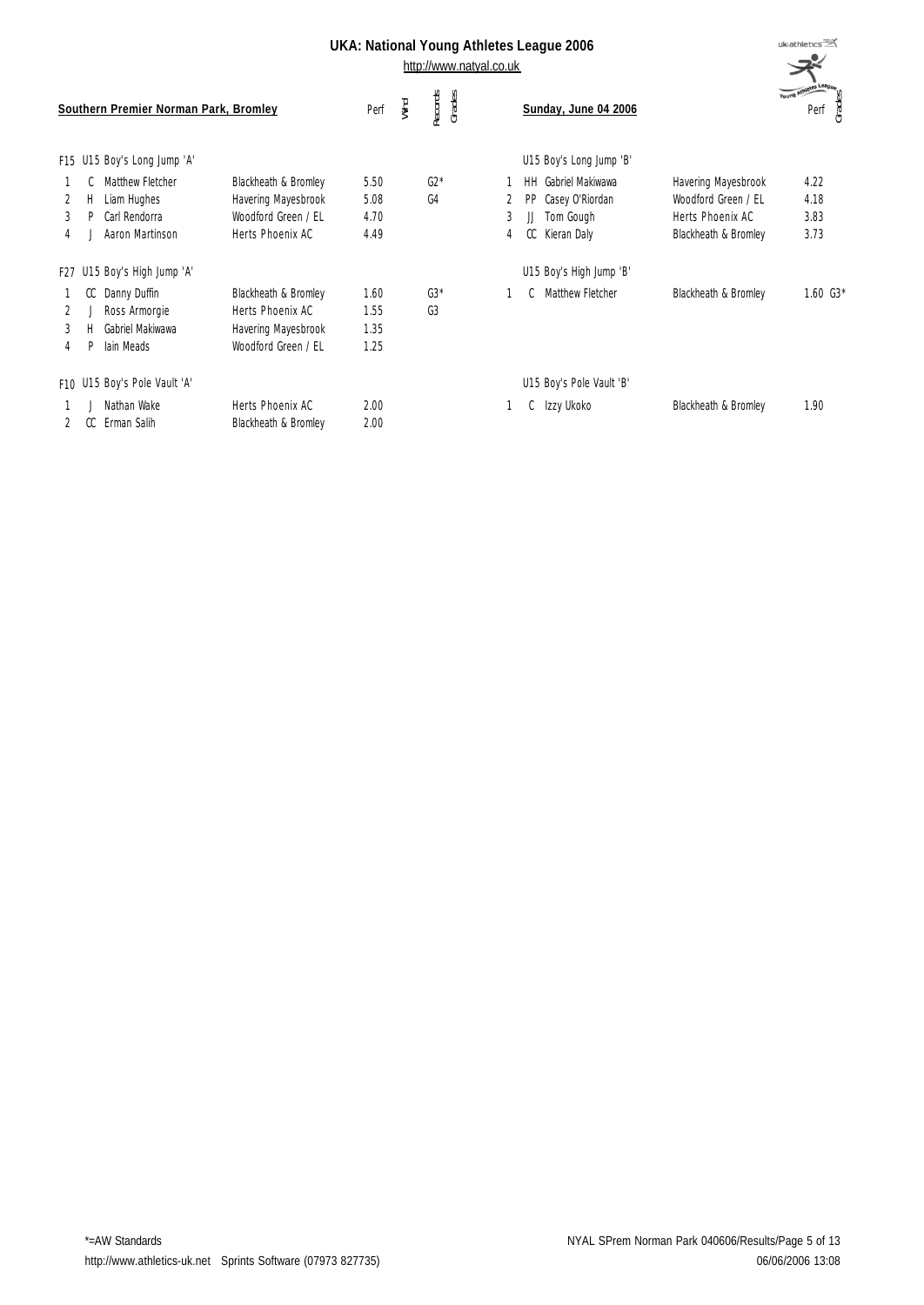http://www.natyal.co.uk

|                          |         | Southern Premier Norman Park, Bromley                               |                                                                                        | Perf                         | Wind | Records<br>Grades |        |                 | Sunday, June 04 2006                                            |                                                                                        | Young Athletes League | Grades<br>Perf               |
|--------------------------|---------|---------------------------------------------------------------------|----------------------------------------------------------------------------------------|------------------------------|------|-------------------|--------|-----------------|-----------------------------------------------------------------|----------------------------------------------------------------------------------------|-----------------------|------------------------------|
|                          |         | F15 U15 Boy's Long Jump 'A'                                         |                                                                                        |                              |      |                   |        |                 | U15 Boy's Long Jump 'B'                                         |                                                                                        |                       |                              |
| 2<br>3<br>$\overline{4}$ | Н.      | Matthew Fletcher<br>Liam Hughes<br>Carl Rendorra<br>Aaron Martinson | Blackheath & Bromley<br>Havering Mayesbrook<br>Woodford Green / FL<br>Herts Phoenix AC | 5.50<br>5.08<br>4.70<br>4.49 |      | $G2*$<br>G4       | 3<br>4 | HH<br>PP<br>CC. | Gabriel Makiwawa<br>Casey O'Riordan<br>Tom Gough<br>Kieran Daly | Havering Mayesbrook<br>Woodford Green / EL<br>Herts Phoenix AC<br>Blackheath & Bromley |                       | 4.22<br>4.18<br>3.83<br>3.73 |
|                          |         | F27 U15 Boy's High Jump 'A'                                         |                                                                                        |                              |      |                   |        |                 | U15 Boy's High Jump 'B'                                         |                                                                                        |                       |                              |
| 2<br>3<br>4              | CC<br>P | Danny Duffin<br>Ross Armorgie<br>Gabriel Makiwawa<br>lain Meads     | Blackheath & Bromley<br>Herts Phoenix AC<br>Havering Mayesbrook<br>Woodford Green / FL | 1.60<br>1.55<br>1.35<br>1.25 |      | $G3*$<br>G3       |        |                 | Matthew Fletcher                                                | Blackheath & Bromley                                                                   |                       | $1.60G3*$                    |
|                          |         | F10 U15 Boy's Pole Vault 'A'                                        |                                                                                        |                              |      |                   |        |                 | U15 Boy's Pole Vault 'B'                                        |                                                                                        |                       |                              |
|                          | CC.     | Nathan Wake<br>Erman Salih                                          | Herts Phoenix AC<br>Blackheath & Bromley                                               | 2.00<br>2.00                 |      |                   |        | C               | Izzy Ukoko                                                      | Blackheath & Bromley                                                                   |                       | 1.90                         |

uk<sub>athletics</sub>  $\mathcal{R}^{\mathcal{C}}$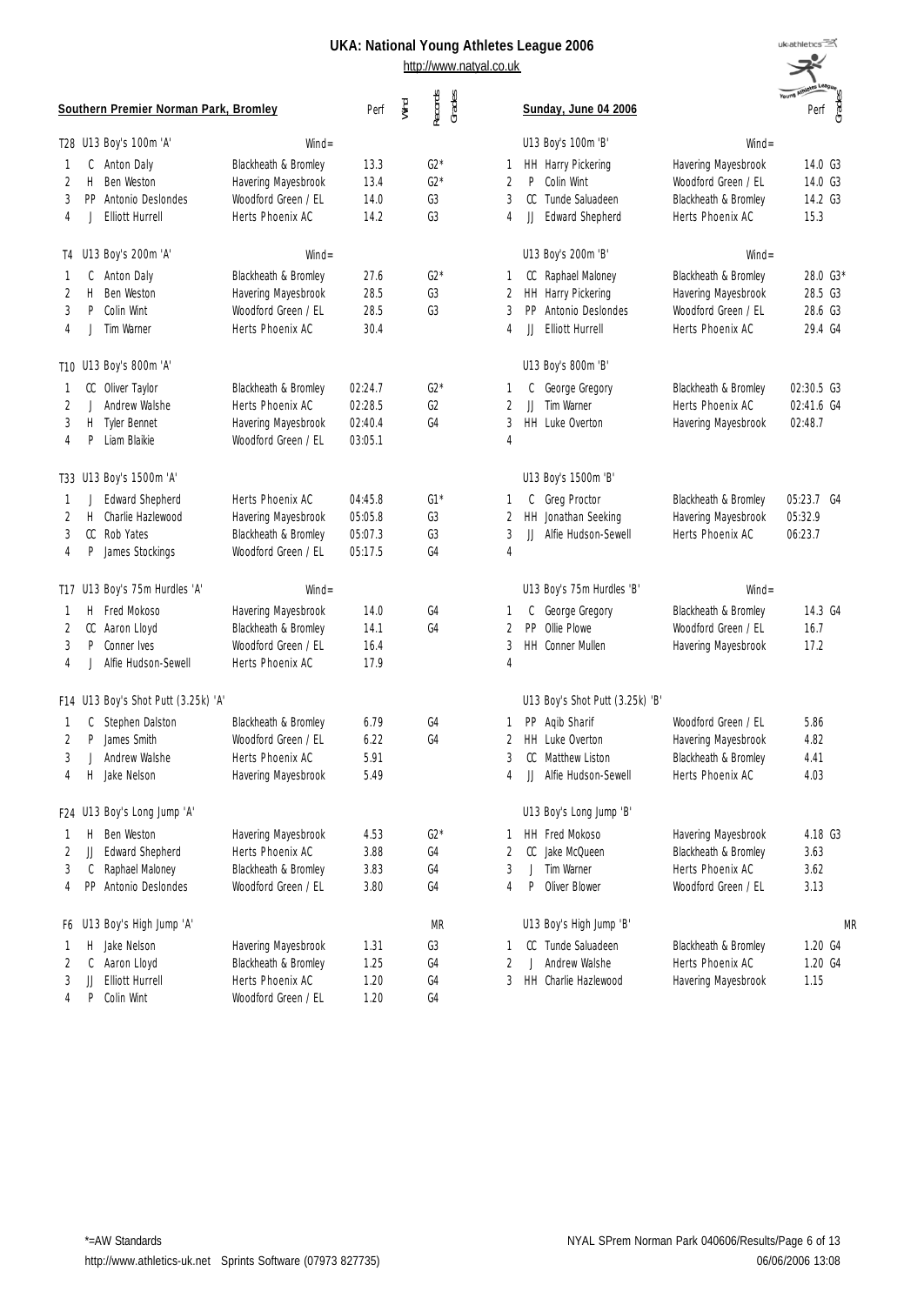| uk:athletics                     |
|----------------------------------|
|                                  |
| e<br>⊖S<br><b>Young Athleter</b> |
|                                  |
| rad<br>Perf                      |
|                                  |

|    |              | Southern Premier Norman Park, Bromley |                      | Perf    | Wind | Records<br>Grades |                | Sunday, June 04 2006            |                      | Young Am<br>Grades<br>Perf |
|----|--------------|---------------------------------------|----------------------|---------|------|-------------------|----------------|---------------------------------|----------------------|----------------------------|
|    |              | T28 U13 Boy's 100m 'A'                | $Wind =$             |         |      |                   |                | U13 Boy's 100m 'B'              | $Wind =$             |                            |
|    | C            | Anton Daly                            | Blackheath & Bromley | 13.3    |      | $G2*$             | 1              | HH Harry Pickering              | Havering Mayesbrook  | 14.0 G3                    |
| 2  | H            | Ben Weston                            | Havering Mayesbrook  | 13.4    |      | $G2*$             | 2              | P<br>Colin Wint                 | Woodford Green / EL  | 14.0 G3                    |
| 3  | PP           | Antonio Deslondes                     | Woodford Green / FL  | 14.0    |      | G3                | 3              | CC<br>Tunde Saluadeen           | Blackheath & Bromley | 14.2 G3                    |
| 4  | J            | <b>Elliott Hurrell</b>                | Herts Phoenix AC     | 14.2    |      | G3                | 4              | <b>Edward Shepherd</b><br>IJ    | Herts Phoenix AC     | 15.3                       |
|    |              | T4 U13 Boy's 200m 'A'                 | $Wind =$             |         |      |                   |                | U13 Boy's 200m 'B'              | $Wind =$             |                            |
|    | C            | Anton Daly                            | Blackheath & Bromley | 27.6    |      | $G2*$             | 1              | Raphael Maloney<br>CC           | Blackheath & Bromley | 28.0 G3*                   |
| 2  | H            | Ben Weston                            | Havering Mayesbrook  | 28.5    |      | G3                | 2              | <b>HH</b><br>Harry Pickering    | Havering Mayesbrook  | 28.5 G3                    |
| 3  | P            | Colin Wint                            | Woodford Green / EL  | 28.5    |      | G <sub>3</sub>    | 3              | PP<br>Antonio Deslondes         | Woodford Green / EL  | 28.6 G3                    |
| 4  | J            | Tim Warner                            | Herts Phoenix AC     | 30.4    |      |                   | 4              | <b>Elliott Hurrell</b><br>IJ    | Herts Phoenix AC     | 29.4 G4                    |
|    |              | T10 U13 Boy's 800m 'A'                |                      |         |      |                   |                | U13 Boy's 800m 'B'              |                      |                            |
|    | CC           | Oliver Taylor                         | Blackheath & Bromley | 02:24.7 |      | $G2*$             | 1              | George Gregory<br>C             | Blackheath & Bromley | 02:30.5 G3                 |
| 2  | $\perp$      | Andrew Walshe                         | Herts Phoenix AC     | 02:28.5 |      | G2                | 2              | Tim Warner<br>$\mathbf{H}$      | Herts Phoenix AC     | 02:41.6 G4                 |
| 3  | H            | Tyler Bennet                          | Havering Mayesbrook  | 02:40.4 |      | G4                | 3              | HH Luke Overton                 | Havering Mayesbrook  | 02:48.7                    |
| 4  | P            | Liam Blaikie                          | Woodford Green / EL  | 03:05.1 |      |                   | $\overline{4}$ |                                 |                      |                            |
|    |              | T33 U13 Boy's 1500m 'A'               |                      |         |      |                   |                | U13 Boy's 1500m 'B'             |                      |                            |
| 1. | J            | <b>Edward Shepherd</b>                | Herts Phoenix AC     | 04:45.8 |      | $G1*$             | 1              | Greg Proctor<br>C               | Blackheath & Bromley | 05:23.7 G4                 |
| 2  | H            | Charlie Hazlewood                     | Havering Mayesbrook  | 05:05.8 |      | G3                | 2              | <b>HH</b><br>Jonathan Seeking   | Havering Mayesbrook  | 05:32.9                    |
| 3  | CC           | Rob Yates                             | Blackheath & Bromley | 05:07.3 |      | G <sub>3</sub>    | 3              | JJ<br>Alfie Hudson-Sewell       | Herts Phoenix AC     | 06:23.7                    |
| 4  | P            | James Stockings                       | Woodford Green / EL  | 05:17.5 |      | G <sub>4</sub>    | $\overline{4}$ |                                 |                      |                            |
|    |              | T17 U13 Boy's 75m Hurdles 'A'         | $Wind =$             |         |      |                   |                | U13 Boy's 75m Hurdles 'B'       | $Wind =$             |                            |
|    | Н.           | Fred Mokoso                           | Havering Mayesbrook  | 14.0    |      | G <sub>4</sub>    | 1              | George Gregory<br>C             | Blackheath & Bromley | 14.3 G4                    |
| 2  | CC           | Aaron Lloyd                           | Blackheath & Bromley | 14.1    |      | G <sub>4</sub>    | 2              | <b>PP</b><br>Ollie Plowe        | Woodford Green / EL  | 16.7                       |
| 3  | P            | Conner Ives                           | Woodford Green / EL  | 16.4    |      |                   | 3              | HH Conner Mullen                | Havering Mayesbrook  | 17.2                       |
| 4  | $\mathbf{J}$ | Alfie Hudson-Sewell                   | Herts Phoenix AC     | 17.9    |      |                   | 4              |                                 |                      |                            |
|    |              | F14 U13 Boy's Shot Putt (3.25k) 'A'   |                      |         |      |                   |                | U13 Boy's Shot Putt (3.25k) 'B' |                      |                            |
|    | C            | Stephen Dalston                       | Blackheath & Bromley | 6.79    |      | G <sub>4</sub>    | 1              | PP Aqib Sharif                  | Woodford Green / FL  | 5.86                       |
| 2  | P            | James Smith                           | Woodford Green / FL  | 6.22    |      | G <sub>4</sub>    | 2              | HH Luke Overton                 | Havering Mayesbrook  | 4.82                       |
| 3  | J            | Andrew Walshe                         | Herts Phoenix AC     | 5.91    |      |                   | 3              | CC<br><b>Matthew Liston</b>     | Blackheath & Bromley | 4.41                       |
| 4  | H.           | Jake Nelson                           | Havering Mayesbrook  | 5.49    |      |                   | 4              | JJ<br>Alfie Hudson-Sewell       | Herts Phoenix AC     | 4.03                       |
|    |              | F24 U13 Boy's Long Jump 'A'           |                      |         |      |                   |                | U13 Boy's Long Jump 'B'         |                      |                            |
|    | Н.           | Ben Weston                            | Havering Mayesbrook  | 4.53    |      | $G2*$             | 1              | HH Fred Mokoso                  | Havering Mayesbrook  | 4.18 G3                    |
| 2  | JJ           | <b>Edward Shepherd</b>                | Herts Phoenix AC     | 3.88    |      | G4                | 2              | CC<br>Jake McQueen              | Blackheath & Bromley | 3.63                       |
| 3  | C            | Raphael Maloney                       | Blackheath & Bromley | 3.83    |      | G4                | 3              | Tim Warner<br>J                 | Herts Phoenix AC     | 3.62                       |
| 4  | PP.          | Antonio Deslondes                     | Woodford Green / EL  | 3.80    |      | G4                | 4              | P<br>Oliver Blower              | Woodford Green / EL  | 3.13                       |
| F6 |              | U13 Boy's High Jump 'A'               |                      |         |      | MR                |                | U13 Boy's High Jump 'B'         |                      | <b>MR</b>                  |
|    | н            | Jake Nelson                           | Havering Mayesbrook  | 1.31    |      | G3                | 1              | Tunde Saluadeen<br>CC           | Blackheath & Bromley | 1.20 G4                    |
| 2  | C            | Aaron Lloyd                           | Blackheath & Bromley | 1.25    |      | G4                | 2              | Andrew Walshe<br>J              | Herts Phoenix AC     | 1.20 G4                    |
| 3  | JJ           | <b>Elliott Hurrell</b>                | Herts Phoenix AC     | 1.20    |      | G4                | 3              | HH<br>Charlie Hazlewood         | Havering Mayesbrook  | 1.15                       |
| 4  | P            | Colin Wint                            | Woodford Green / EL  | 1.20    |      | G4                |                |                                 |                      |                            |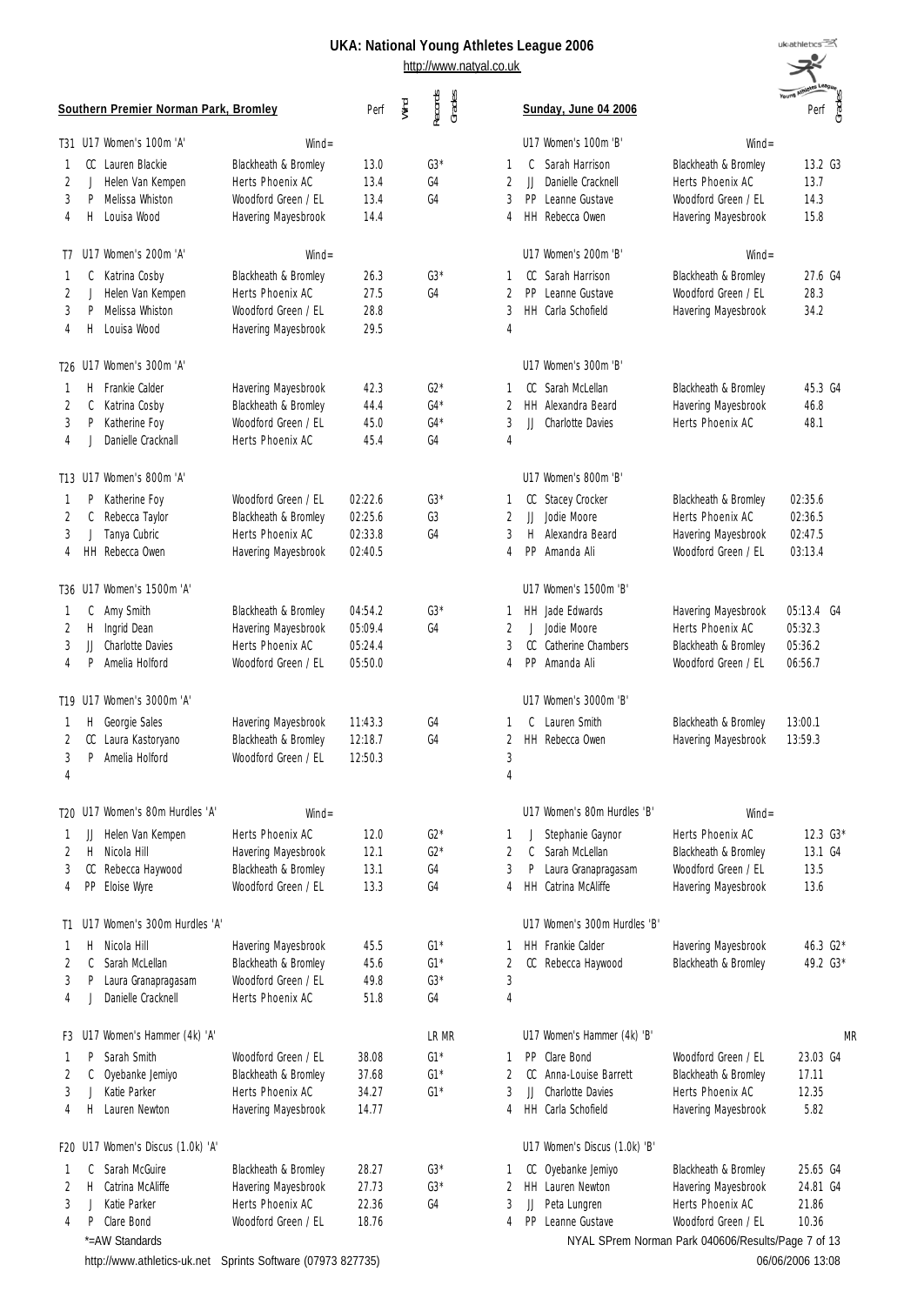http://www.natyal.co.uk

| uk.                           | es League 2006                                                                                  |                                                                                        | uk <sub>athletics</sub>                  |    |
|-------------------------------|-------------------------------------------------------------------------------------------------|----------------------------------------------------------------------------------------|------------------------------------------|----|
|                               | Sunday, June 04 2006                                                                            |                                                                                        |                                          |    |
|                               | U17 Women's 100m 'B'                                                                            | $Wind =$                                                                               |                                          |    |
| 1<br>$\overline{2}$           | C.<br>Sarah Harrison<br>JJ Danielle Cracknell                                                   | Blackheath & Bromley<br>Herts Phoenix AC                                               | 13.2 G3<br>13.7                          |    |
| 3<br>4                        | PP Leanne Gustave<br>HH Rebecca Owen                                                            | Woodford Green / FL<br>Havering Mayesbrook                                             | 14.3<br>15.8                             |    |
|                               | U17 Women's 200m 'B'                                                                            | $Wind =$                                                                               |                                          |    |
| 1<br>$\overline{2}$<br>3<br>4 | CC Sarah Harrison<br>PP Leanne Gustave<br>HH Carla Schofield                                    | Blackheath & Bromley<br>Woodford Green / FL<br>Havering Mayesbrook                     | 27.6 G4<br>28.3<br>34.2                  |    |
|                               | U17 Women's 300m 'B'                                                                            |                                                                                        |                                          |    |
| 1<br>$\mathfrak{D}$<br>3<br>4 | CC Sarah McLellan<br><b>HH</b> Alexandra Beard<br>JJ Charlotte Davies                           | Blackheath & Bromley<br>Havering Mayesbrook<br>Herts Phoenix AC                        | 45.3 G4<br>46.8<br>48.1                  |    |
|                               | U17 Women's 800m 'B'                                                                            |                                                                                        |                                          |    |
| 1<br>$\overline{2}$<br>3<br>4 | CC Stacey Crocker<br>Jodie Moore<br>JJ.<br>Alexandra Beard<br>H<br>PP Amanda Ali                | Blackheath & Bromley<br>Herts Phoenix AC<br>Havering Mayesbrook<br>Woodford Green / FL | 02:35.6<br>02:36.5<br>02:47.5<br>03:13.4 |    |
|                               | U17 Women's 1500m 'B'                                                                           |                                                                                        |                                          |    |
| 1<br>2<br>3<br>4              | <b>HH</b> Jade Edwards<br>J Jodie Moore<br>CC Catherine Chambers<br>PP Amanda Ali               | Havering Mayesbrook<br>Herts Phoenix AC<br>Blackheath & Bromley<br>Woodford Green / FL | 05:13.4<br>05:32.3<br>05:36.2<br>06:56.7 | G4 |
|                               | U17 Women's 3000m 'B'                                                                           |                                                                                        |                                          |    |
| 1<br>$\overline{2}$<br>3<br>4 | Lauren Smith<br>C<br>HH Rebecca Owen                                                            | Blackheath & Bromley<br>Havering Mayesbrook                                            | 13:00.1<br>13:59.3                       |    |
|                               | 1117 Women's 80m Hurdles 'B'                                                                    | $Wind =$                                                                               |                                          |    |
| 1<br>$\overline{2}$<br>3<br>4 | J<br>Stephanie Gaynor<br>C<br>Sarah McLellan<br>P<br>Laura Granapragasam<br>HH Catrina McAliffe | Herts Phoenix AC<br>Blackheath & Bromley<br>Woodford Green / EL<br>Havering Mayesbrook | $12.3\,G3*$<br>13.1 G4<br>13.5<br>13.6   |    |
|                               | U17 Women's 300m Hurdles 'B'                                                                    |                                                                                        |                                          |    |
| 1<br>2<br>3<br>4              | <b>HH</b> Frankie Calder<br>CC<br>Rebecca Haywood                                               | Havering Mayesbrook<br>Blackheath & Bromley                                            | 46.3 $G2*$<br>49.2 G3*                   |    |
|                               | U17 Women's Hammer (4k) 'B'                                                                     |                                                                                        |                                          | MR |
| 1<br>2<br>3                   | PP Clare Bond<br>CC.<br>Anna-Louise Barrett<br>JJ<br><b>Charlotte Davies</b>                    | Woodford Green / EL<br>Blackheath & Bromley<br>Herts Phoenix AC                        | 23.03 G4<br>17.11<br>12.35               |    |

|         | Southern Premier Norman Park, Bromley |                                                             |                      | Perf    | Wind | Records<br>Grades |                |         | Sunday, June 04 2006          |                                                    | Young Am<br>Perf | Grades |
|---------|---------------------------------------|-------------------------------------------------------------|----------------------|---------|------|-------------------|----------------|---------|-------------------------------|----------------------------------------------------|------------------|--------|
|         |                                       | T31 U17 Women's 100m 'A'                                    | $Wind =$             |         |      |                   |                |         | U17 Women's 100m 'B'          | $Wind =$                                           |                  |        |
| 1       |                                       | CC Lauren Blackie                                           | Blackheath & Bromley | 13.0    |      | $G3*$             | 1              | C       | Sarah Harrison                | Blackheath & Bromley                               | 13.2 G3          |        |
| 2       |                                       | Helen Van Kempen                                            | Herts Phoenix AC     | 13.4    |      | G4                | 2              | Ш       | Danielle Cracknell            | Herts Phoenix AC                                   | 13.7             |        |
| 3       | P                                     | Melissa Whiston                                             | Woodford Green / EL  | 13.4    |      | G4                | 3              | PP      | Leanne Gustave                | Woodford Green / FL                                | 14.3             |        |
| 4       |                                       | H Louisa Wood                                               | Havering Mayesbrook  | 14.4    |      |                   | 4              |         | HH Rebecca Owen               | Havering Mayesbrook                                | 15.8             |        |
|         |                                       | T7 U17 Women's 200m 'A'                                     | $Wind =$             |         |      |                   |                |         | U17 Women's 200m 'B'          | $Wind =$                                           |                  |        |
| 1       | C                                     | Katrina Cosby                                               | Blackheath & Bromley | 26.3    |      | $G3*$             | 1              | CC      | Sarah Harrison                | Blackheath & Bromley                               | 27.6 G4          |        |
| 2       | J                                     | Helen Van Kempen                                            | Herts Phoenix AC     | 27.5    |      | G4                | $\overline{2}$ | PP      | Leanne Gustave                | Woodford Green / FL                                | 28.3             |        |
| 3       | P                                     | Melissa Whiston                                             | Woodford Green / FL  | 28.8    |      |                   | 3              |         | HH Carla Schofield            | Havering Mayesbrook                                | 34.2             |        |
| 4       |                                       | H Louisa Wood                                               | Havering Mayesbrook  | 29.5    |      |                   | 4              |         |                               |                                                    |                  |        |
|         |                                       | T26 U17 Women's 300m 'A'                                    |                      |         |      |                   |                |         | U17 Women's 300m 'B'          |                                                    |                  |        |
| -1      |                                       | H Frankie Calder                                            | Havering Mayesbrook  | 42.3    |      | $G2*$             | 1              |         | CC Sarah McLellan             | Blackheath & Bromley                               | 45.3 G4          |        |
| 2       | C                                     | Katrina Cosby                                               | Blackheath & Bromley | 44.4    |      | $G4*$             | 2              |         | <b>HH</b> Alexandra Beard     | Havering Mayesbrook                                | 46.8             |        |
| 3       | P                                     | Katherine Foy                                               | Woodford Green / EL  | 45.0    |      | $G4*$             | 3              | JJ      | <b>Charlotte Davies</b>       | Herts Phoenix AC                                   | 48.1             |        |
| 4       |                                       | Danielle Cracknall                                          | Herts Phoenix AC     | 45.4    |      | G4                | $\overline{4}$ |         |                               |                                                    |                  |        |
|         |                                       | T13 U17 Women's 800m 'A'                                    |                      |         |      |                   |                |         | U17 Women's 800m 'B'          |                                                    |                  |        |
|         | P                                     | Katherine Foy                                               | Woodford Green / EL  | 02:22.6 |      | $G3*$             | 1              |         | CC Stacey Crocker             | Blackheath & Bromley                               | 02:35.6          |        |
| -1<br>2 | C                                     | Rebecca Taylor                                              | Blackheath & Bromley | 02:25.6 |      | G3                | 2              | JJ      | Jodie Moore                   | Herts Phoenix AC                                   | 02:36.5          |        |
| 3       | $\overline{a}$                        | Tanya Cubric                                                | Herts Phoenix AC     | 02:33.8 |      | G <sub>4</sub>    | 3              | H       | Alexandra Beard               | Havering Mayesbrook                                | 02:47.5          |        |
| 4       |                                       | HH Rebecca Owen                                             | Havering Mayesbrook  | 02:40.5 |      |                   | 4              | PP      | Amanda Ali                    | Woodford Green / EL                                | 03:13.4          |        |
|         |                                       |                                                             |                      |         |      |                   |                |         |                               |                                                    |                  |        |
|         |                                       | T36 U17 Women's 1500m 'A'                                   |                      |         |      |                   |                |         | U17 Women's 1500m 'B'         |                                                    |                  |        |
| -1      | C                                     | Amy Smith                                                   | Blackheath & Bromley | 04:54.2 |      | $G3*$             | 1              |         | HH Jade Edwards               | Havering Mayesbrook                                | 05:13.4 G4       |        |
| 2       | H.                                    | Ingrid Dean                                                 | Havering Mayesbrook  | 05:09.4 |      | G4                | $\overline{2}$ | $\perp$ | Jodie Moore                   | Herts Phoenix AC                                   | 05:32.3          |        |
| 3       | IJ                                    | <b>Charlotte Davies</b>                                     | Herts Phoenix AC     | 05:24.4 |      |                   | 3              | CC      | Catherine Chambers            | Blackheath & Bromley                               | 05:36.2          |        |
| 4       | P                                     | Amelia Holford                                              | Woodford Green / EL  | 05:50.0 |      |                   | 4              |         | PP Amanda Ali                 | Woodford Green / EL                                | 06:56.7          |        |
|         |                                       | T19 U17 Women's 3000m 'A'                                   |                      |         |      |                   |                |         | U17 Women's 3000m 'B'         |                                                    |                  |        |
| -1      | Н.                                    | Georgie Sales                                               | Havering Mayesbrook  | 11:43.3 |      | G <sub>4</sub>    | 1              | C       | Lauren Smith                  | Blackheath & Bromley                               | 13:00.1          |        |
| 2       | CC                                    | Laura Kastoryano                                            | Blackheath & Bromley | 12:18.7 |      | G4                | 2              |         | HH Rebecca Owen               | Havering Mayesbrook                                | 13:59.3          |        |
| 3       | P                                     | Amelia Holford                                              | Woodford Green / EL  | 12:50.3 |      |                   | 3              |         |                               |                                                    |                  |        |
| 4       |                                       |                                                             |                      |         |      |                   | 4              |         |                               |                                                    |                  |        |
|         |                                       | T20 U17 Women's 80m Hurdles 'A'                             | $Wind =$             |         |      |                   |                |         | U17 Women's 80m Hurdles 'B'   | $Wind =$                                           |                  |        |
| 1       |                                       | JJ Helen Van Kempen                                         | Herts Phoenix AC     | 12.0    |      | $G2*$             | 1              | J       | Stephanie Gaynor              | Herts Phoenix AC                                   | 12.3 G3*         |        |
| 2       |                                       | H Nicola Hill                                               | Havering Mayesbrook  | 12.1    |      | $G2*$             | $\overline{2}$ | C       | Sarah McLellan                | Blackheath & Bromley                               | 13.1 G4          |        |
| 3       |                                       | CC Rebecca Haywood                                          | Blackheath & Bromley | 13.1    |      | G4                | 3              | P       | Laura Granapragasam           | Woodford Green / EL                                | 13.5             |        |
| 4       |                                       | PP Eloise Wyre                                              | Woodford Green / EL  | 13.3    |      | G4                | 4              |         | HH Catrina McAliffe           | Havering Mayesbrook                                | 13.6             |        |
| T1      |                                       | U17 Women's 300m Hurdles 'A'                                |                      |         |      |                   |                |         | U17 Women's 300m Hurdles 'B'  |                                                    |                  |        |
| -1      | Н.                                    | Nicola Hill                                                 | Havering Mayesbrook  | 45.5    |      | $G1*$             | 1              |         | HH Frankie Calder             | Havering Mayesbrook                                | 46.3 G2*         |        |
| 2       | C                                     | Sarah McLellan                                              | Blackheath & Bromley | 45.6    |      | $G1*$             | 2              |         | CC Rebecca Haywood            | Blackheath & Bromley                               | 49.2 G3*         |        |
| 3       | P                                     | Laura Granapragasam                                         | Woodford Green / EL  | 49.8    |      | $G3*$             | 3              |         |                               |                                                    |                  |        |
| 4       |                                       | Danielle Cracknell                                          | Herts Phoenix AC     | 51.8    |      | G4                | 4              |         |                               |                                                    |                  |        |
|         |                                       | F3 U17 Women's Hammer (4k) 'A'                              |                      |         |      | LR MR             |                |         | U17 Women's Hammer (4k) 'B'   |                                                    |                  | MR     |
|         | P                                     | Sarah Smith                                                 | Woodford Green / EL  | 38.08   |      | $G1*$             | 1              |         | PP Clare Bond                 | Woodford Green / EL                                | 23.03 G4         |        |
| 1<br>2  | C                                     | Oyebanke Jemiyo                                             | Blackheath & Bromley | 37.68   |      | $G1*$             | 2              |         | CC Anna-Louise Barrett        | Blackheath & Bromley                               | 17.11            |        |
| 3       |                                       | Katie Parker                                                | Herts Phoenix AC     | 34.27   |      | $G1*$             | 3              | JJ      | <b>Charlotte Davies</b>       | Herts Phoenix AC                                   | 12.35            |        |
| 4       |                                       | H Lauren Newton                                             | Havering Mayesbrook  | 14.77   |      |                   | 4              |         | HH Carla Schofield            | Havering Mayesbrook                                | 5.82             |        |
|         |                                       |                                                             |                      |         |      |                   |                |         |                               |                                                    |                  |        |
|         |                                       | F20 U17 Women's Discus (1.0k) 'A'                           |                      |         |      |                   |                |         | U17 Women's Discus (1.0k) 'B' |                                                    |                  |        |
| -1      | C                                     | Sarah McGuire                                               | Blackheath & Bromley | 28.27   |      | $G3*$             | 1              |         | CC Oyebanke Jemiyo            | Blackheath & Bromley                               | 25.65 G4         |        |
| 2       |                                       | H Catrina McAliffe                                          | Havering Mayesbrook  | 27.73   |      | $G3*$             | 2              |         | HH Lauren Newton              | Havering Mayesbrook                                | 24.81 G4         |        |
| 3       | $\perp$                               | Katie Parker                                                | Herts Phoenix AC     | 22.36   |      | G4                | 3              | JJ      | Peta Lungren                  | Herts Phoenix AC                                   | 21.86            |        |
| 4       | P                                     | Clare Bond                                                  | Woodford Green / EL  | 18.76   |      |                   | 4              |         | PP Leanne Gustave             | Woodford Green / EL                                | 10.36            |        |
|         |                                       | *=AW Standards                                              |                      |         |      |                   |                |         |                               | NYAL SPrem Norman Park 040606/Results/Page 7 of 13 |                  |        |
|         |                                       | http://www.athletics-uk.net Sprints Software (07973 827735) |                      |         |      |                   |                |         |                               |                                                    | 06/06/2006 13:08 |        |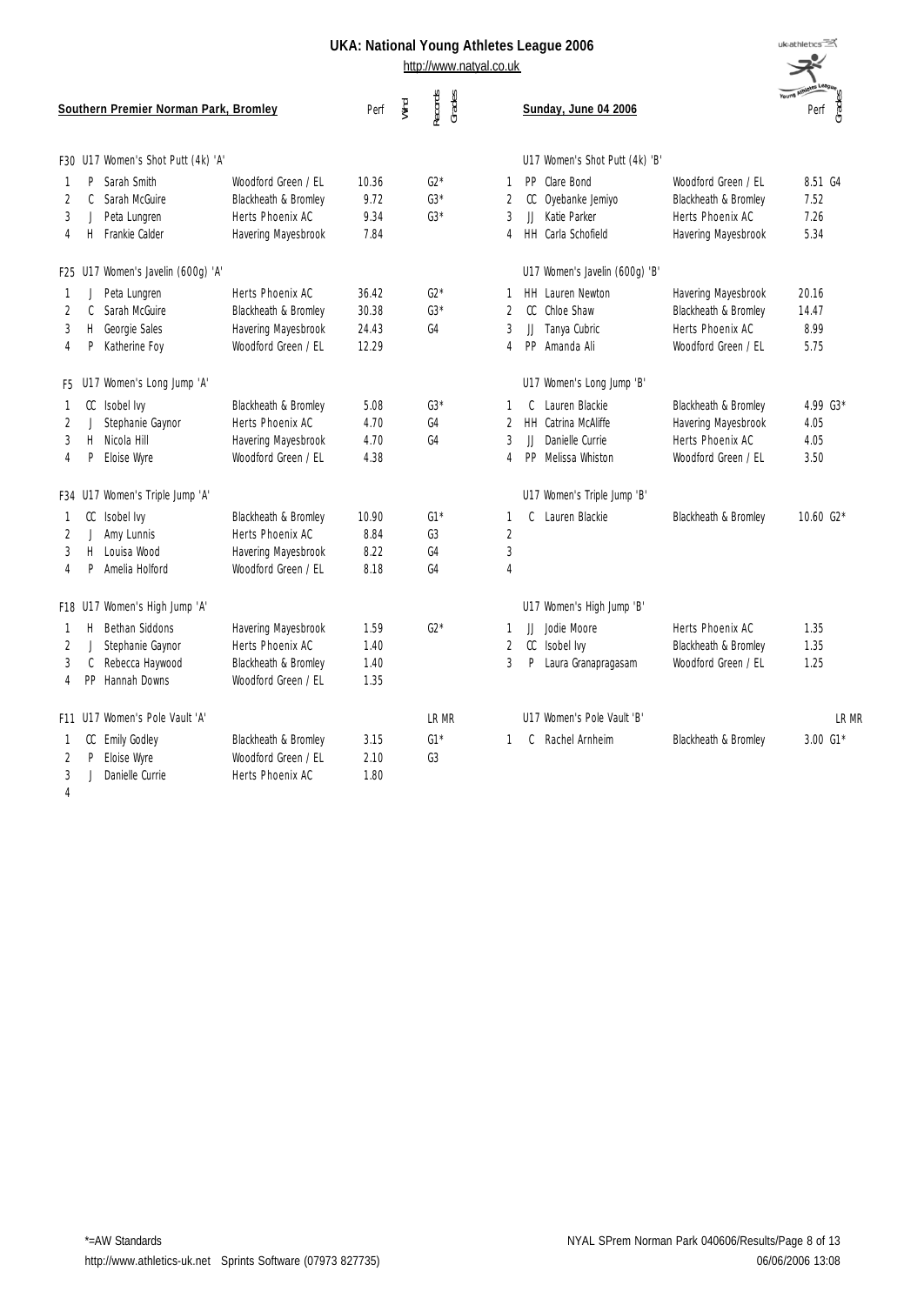http://www.natyal.co.uk

|    |    | Southern Premier Norman Park, Bromley |                      | Wind<br>Perf | Records<br>Grades |                | Sunday, June 04 2006                              | Young Athletes League<br>Perf des <sup>3</sup> |
|----|----|---------------------------------------|----------------------|--------------|-------------------|----------------|---------------------------------------------------|------------------------------------------------|
|    |    | F30 U17 Women's Shot Putt (4k) 'A'    |                      |              |                   |                | U17 Women's Shot Putt (4k) 'B'                    |                                                |
| 1  | P  | Sarah Smith                           | Woodford Green / EL  | 10.36        | $G2*$             | 1              | PP Clare Bond<br>Woodford Green / EL              | 8.51 G4                                        |
| 2  | C  | Sarah McGuire                         | Blackheath & Bromley | 9.72         | $G3*$             | $\overline{2}$ | CC Oyebanke Jemiyo<br>Blackheath & Bromley        | 7.52                                           |
| 3  | J  | Peta Lungren                          | Herts Phoenix AC     | 9.34         | $G3*$             | 3              | JJ Katie Parker<br>Herts Phoenix AC               | 7.26                                           |
| 4  | H. | Frankie Calder                        | Havering Mayesbrook  | 7.84         |                   | 4              | HH Carla Schofield<br>Havering Mayesbrook         | 5.34                                           |
|    |    | F25 U17 Women's Javelin (600g) 'A'    |                      |              |                   |                | U17 Women's Javelin (600g) 'B'                    |                                                |
| 1  | J  | Peta Lungren                          | Herts Phoenix AC     | 36.42        | $G2*$             | 1              | HH Lauren Newton<br>Havering Mayesbrook           | 20.16                                          |
| 2  | C. | Sarah McGuire                         | Blackheath & Bromley | 30.38        | $G3*$             | $\overline{2}$ | Chloe Shaw<br>CC<br>Blackheath & Bromley          | 14.47                                          |
| 3  | H. | Georgie Sales                         | Havering Mayesbrook  | 24.43        | G4                | 3              | Tanya Cubric<br>JJ<br>Herts Phoenix AC            | 8.99                                           |
| 4  | P  | Katherine Foy                         | Woodford Green / EL  | 12.29        |                   | 4              | PP Amanda Ali<br>Woodford Green / EL              | 5.75                                           |
|    |    | F5 U17 Women's Long Jump 'A'          |                      |              |                   |                | U17 Women's Long Jump 'B'                         |                                                |
| -1 |    | CC Isobel Ivy                         | Blackheath & Bromley | 5.08         | $G3*$             | 1              | Lauren Blackie<br>Blackheath & Bromley<br>C.      | 4.99 G3*                                       |
| 2  |    | Stephanie Gaynor                      | Herts Phoenix AC     | 4.70         | G4                | 2              | <b>HH</b> Catrina McAliffe<br>Havering Mayesbrook | 4.05                                           |
| 3  | H. | Nicola Hill                           | Havering Mayesbrook  | 4.70         | G4                | 3              | Danielle Currie<br>Herts Phoenix AC<br>$\Box$     | 4.05                                           |
| 4  | P  | Eloise Wyre                           | Woodford Green / EL  | 4.38         |                   | 4              | PP<br>Melissa Whiston<br>Woodford Green / EL      | 3.50                                           |
|    |    | F34 U17 Women's Triple Jump 'A'       |                      |              |                   |                | U17 Women's Triple Jump 'B'                       |                                                |
| -1 | CC | Isobel Ivy                            | Blackheath & Bromley | 10.90        | $G1*$             | 1              | Lauren Blackie<br>C<br>Blackheath & Bromley       | 10.60 $G2*$                                    |
| 2  | J  | Amy Lunnis                            | Herts Phoenix AC     | 8.84         | G3                | $\overline{2}$ |                                                   |                                                |
| 3  | H  | Louisa Wood                           | Havering Mayesbrook  | 8.22         | G4                | $\sqrt{3}$     |                                                   |                                                |
| 4  | P  | Amelia Holford                        | Woodford Green / EL  | 8.18         | G4                | $\overline{4}$ |                                                   |                                                |
|    |    | F18 U17 Women's High Jump 'A'         |                      |              |                   |                | U17 Women's High Jump 'B'                         |                                                |
| 1  | Н. | Bethan Siddons                        | Havering Mayesbrook  | 1.59         | $G2*$             | 1              | JJ Jodie Moore<br>Herts Phoenix AC                | 1.35                                           |
| 2  |    | Stephanie Gaynor                      | Herts Phoenix AC     | 1.40         |                   | $\overline{2}$ | CC<br>Isobel Ivy<br>Blackheath & Bromley          | 1.35                                           |
| 3  | C  | Rebecca Haywood                       | Blackheath & Bromley | 1.40         |                   | 3              | P<br>Laura Granapragasam<br>Woodford Green / EL   | 1.25                                           |
| 4  |    | PP Hannah Downs                       | Woodford Green / EL  | 1.35         |                   |                |                                                   |                                                |
|    |    | F11 U17 Women's Pole Vault 'A'        |                      |              | <b>IRMR</b>       |                | U17 Women's Pole Vault 'B'                        | <b>IRMR</b>                                    |
| 1  |    | CC Emily Godley                       | Blackheath & Bromley | 3.15         | $G1*$             | $\mathbf{1}$   | Rachel Arnheim<br>Blackheath & Bromley<br>C       | $3.00\,$ G1*                                   |
| 2  | P  | Eloise Wyre                           | Woodford Green / FL  | 2.10         | G <sub>3</sub>    |                |                                                   |                                                |
| 3  |    | Danielle Currie                       | Herts Phoenix AC     | 1.80         |                   |                |                                                   |                                                |
| 4  |    |                                       |                      |              |                   |                |                                                   |                                                |

uk<sub>athletics</sub>  $\Rightarrow^{\sim}$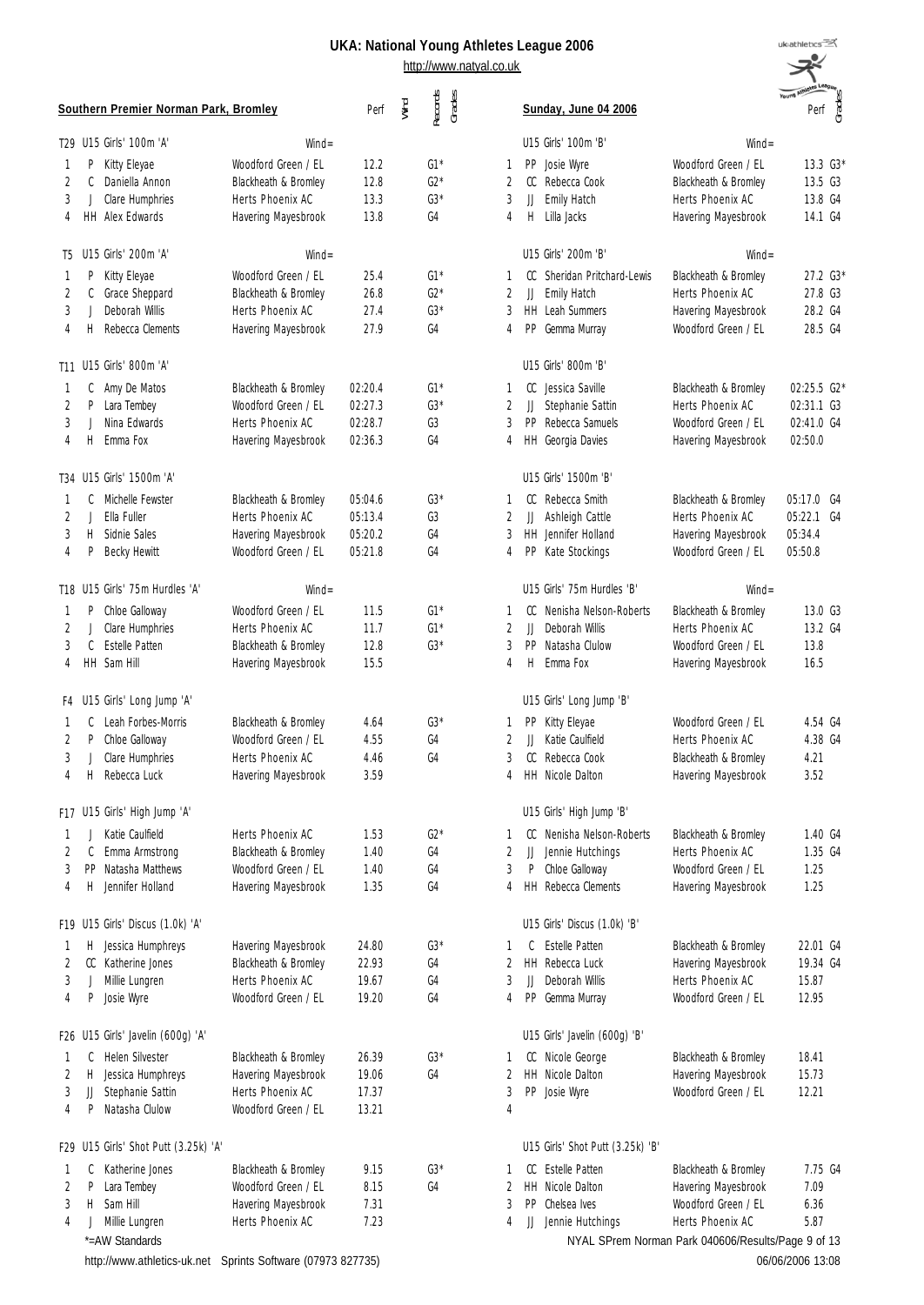| uk:athletics                     |
|----------------------------------|
|                                  |
|                                  |
| uę<br><b>Young Athleter</b><br>S |
| Perf<br>᠊ᡣ                       |
|                                  |

|                | Southern Premier Norman Park, Bromley | Perf                                                        | Wind    | Records<br>Grades |                |                | Sunday, June 04 2006 |                                  | Young Am<br>Perf<br>Grades                         |                  |
|----------------|---------------------------------------|-------------------------------------------------------------|---------|-------------------|----------------|----------------|----------------------|----------------------------------|----------------------------------------------------|------------------|
|                | T29 U15 Girls' 100m 'A'               | $Wind =$                                                    |         |                   |                |                |                      | U15 Girls' 100m 'B'              | $Wind =$                                           |                  |
| 1              | P<br>Kitty Eleyae                     | Woodford Green / EL                                         | 12.2    |                   | $G1*$          | 1              | PP.                  | Josie Wyre                       | Woodford Green / EL                                | 13.3 G3*         |
| 2              | C<br>Daniella Annon                   | Blackheath & Bromley                                        | 12.8    |                   | $G2*$          | 2              | CC                   | Rebecca Cook                     | Blackheath & Bromley                               | 13.5 G3          |
| 3              | Clare Humphries<br>J                  | Herts Phoenix AC                                            | 13.3    |                   | $G3*$          | 3              | JJ                   | Emily Hatch                      | Herts Phoenix AC                                   | 13.8 G4          |
| 4              | <b>HH</b> Alex Edwards                | Havering Mayesbrook                                         | 13.8    |                   | G4             | 4              | Н.                   | Lilla Jacks                      | Havering Mayesbrook                                | 14.1 G4          |
| T5             | U15 Girls' 200m 'A'                   | $Wind =$                                                    |         |                   |                |                |                      | U15 Girls' 200m 'B'              | $Wind =$                                           |                  |
| 1              | Kitty Eleyae<br>P                     | Woodford Green / EL                                         | 25.4    |                   | $G1*$          | 1              | CC                   | Sheridan Pritchard-Lewis         | Blackheath & Bromley                               | 27.2 G3*         |
| 2              | C<br>Grace Sheppard                   | Blackheath & Bromley                                        | 26.8    |                   | $G2*$          | $\overline{2}$ | JJ                   | Emily Hatch                      | Herts Phoenix AC                                   | 27.8 G3          |
| 3              | Deborah Willis<br>J                   | Herts Phoenix AC                                            | 27.4    |                   | $G3*$          | 3              |                      | HH Leah Summers                  | Havering Mayesbrook                                | 28.2 G4          |
| 4              | Rebecca Clements<br>H                 | Havering Mayesbrook                                         | 27.9    |                   | G4             | 4              | PP                   | Gemma Murray                     | Woodford Green / EL                                | 28.5 G4          |
|                | T11 U15 Girls' 800m 'A'               |                                                             |         |                   |                |                |                      | U15 Girls' 800m 'B'              |                                                    |                  |
| 1              | C<br>Amy De Matos                     | Blackheath & Bromley                                        | 02:20.4 |                   | $G1*$          | 1              | CC                   | Jessica Saville                  | Blackheath & Bromley                               | 02:25.5 G2*      |
| 2              | P.<br>Lara Tembey                     | Woodford Green / EL                                         | 02:27.3 |                   | $G3*$          | 2              | JJ                   | Stephanie Sattin                 | Herts Phoenix AC                                   | 02:31.1 G3       |
| 3              | Nina Fdwards<br>J                     | Herts Phoenix AC                                            | 02:28.7 |                   | G3             | 3              | PP                   | Rebecca Samuels                  | Woodford Green / FL                                | 02:41.0 G4       |
| 4              | Emma Fox<br>Н                         | Havering Mayesbrook                                         | 02:36.3 |                   | G4             | 4              |                      | HH Georgia Davies                | Havering Mayesbrook                                | 02:50.0          |
|                | T34 U15 Girls' 1500m 'A'              |                                                             |         |                   |                |                |                      | U15 Girls' 1500m 'B'             |                                                    |                  |
| 1              | Michelle Fewster<br>C                 | Blackheath & Bromley                                        | 05:04.6 |                   | $G3*$          | 1              | CC                   | Rebecca Smith                    | Blackheath & Bromley                               | 05:17.0 G4       |
| 2              | Ella Fuller<br>J.                     | Herts Phoenix AC                                            | 05:13.4 |                   | G3             | 2              | JJ                   | Ashleigh Cattle                  | Herts Phoenix AC                                   | 05:22.1<br>G4    |
| 3              | Н<br>Sidnie Sales                     | Havering Mayesbrook                                         | 05:20.2 |                   | G <sub>4</sub> | 3              |                      | <b>HH</b> Jennifer Holland       | Havering Mayesbrook                                | 05:34.4          |
| 4              | Ρ<br><b>Becky Hewitt</b>              | Woodford Green / EL                                         | 05:21.8 |                   | G4             | 4              | PP.                  | Kate Stockings                   | Woodford Green / EL                                | 05:50.8          |
|                | T18 U15 Girls' 75m Hurdles 'A'        | $Wind =$                                                    |         |                   |                |                |                      | U15 Girls' 75m Hurdles 'B'       | $Wind =$                                           |                  |
| 1              | Chloe Galloway<br>P                   | Woodford Green / EL                                         | 11.5    |                   | $G1*$          | 1              | CC                   | Nenisha Nelson-Roberts           | Blackheath & Bromley                               | 13.0 G3          |
| 2              | Clare Humphries<br>J                  | Herts Phoenix AC                                            | 11.7    |                   | $G1*$          | $\overline{2}$ | IJ                   | Deborah Willis                   | Herts Phoenix AC                                   | 13.2 G4          |
| 3              | C Estelle Patten                      | Blackheath & Bromley                                        | 12.8    |                   | $G3*$          | 3              | PP                   | Natasha Clulow                   | Woodford Green / EL                                | 13.8             |
| 4              | HH Sam Hill                           | Havering Mayesbrook                                         | 15.5    |                   |                | 4              | H                    | Emma Fox                         | Havering Mayesbrook                                | 16.5             |
| F4             | U15 Girls' Long Jump 'A'              |                                                             |         |                   |                |                |                      | U15 Girls' Long Jump 'B'         |                                                    |                  |
| 1              | Leah Forbes-Morris<br>C               | Blackheath & Bromley                                        | 4.64    |                   | $G3*$          |                | PP.                  | Kitty Eleyae                     | Woodford Green / EL                                | 4.54 G4          |
| 2              | P<br>Chloe Galloway                   | Woodford Green / EL                                         | 4.55    |                   | G4             | 2              | JJ                   | Katie Caulfield                  | Herts Phoenix AC                                   | 4.38 G4          |
| 3              | Clare Humphries<br>J                  | Herts Phoenix AC                                            | 4.46    |                   | G4             | 3              | CC.                  | Rebecca Cook                     | Blackheath & Bromley                               | 4.21             |
| 4              | Rebecca Luck<br>H                     | Havering Mayesbrook                                         | 3.59    |                   |                | 4              |                      | <b>HH</b> Nicole Dalton          | Havering Mayesbrook                                | 3.52             |
|                | F17 U15 Girls' High Jump 'A'          |                                                             |         |                   |                |                |                      | U15 Girls' High Jump 'B'         |                                                    |                  |
| 1              | Katie Caulfield<br>J.                 | Herts Phoenix AC                                            | 1.53    |                   | $G2*$          | 1              | CC                   | Nenisha Nelson-Roberts           | Blackheath & Bromley                               | 1.40 G4          |
| 2              | C<br>Emma Armstrong                   | Blackheath & Bromley                                        | 1.40    |                   | G4             | $\overline{2}$ | IJ                   | Jennie Hutchings                 | Herts Phoenix AC                                   | 1.35 G4          |
| 3              | PP Natasha Matthews                   | Woodford Green / EL                                         | 1.40    |                   | G <sub>4</sub> | 3              | P                    | Chloe Galloway                   | Woodford Green / FL                                | 1.25             |
| 4              | Jennifer Holland<br>Н                 | Havering Mayesbrook                                         | 1.35    |                   | G4             | 4              |                      | HH Rebecca Clements              | Havering Mayesbrook                                | 1.25             |
|                | F19 U15 Girls' Discus (1.0k) 'A'      |                                                             |         |                   |                |                |                      | U15 Girls' Discus (1.0k) 'B'     |                                                    |                  |
| 1              | Jessica Humphreys<br>H.               | Havering Mayesbrook                                         | 24.80   |                   | $G3*$          | 1              | C                    | <b>Fstelle Patten</b>            | Blackheath & Bromley                               | 22.01 G4         |
| 2              | CC Katherine Jones                    | Blackheath & Bromley                                        | 22.93   |                   | G4             | 2              |                      | HH Rebecca Luck                  | Havering Mayesbrook                                | 19.34 G4         |
| 3              | Millie Lungren<br>J                   | Herts Phoenix AC                                            | 19.67   |                   | G <sub>4</sub> | 3              | JJ                   | Deborah Willis                   | Herts Phoenix AC                                   | 15.87            |
| 4              | Josie Wyre<br>P                       | Woodford Green / EL                                         | 19.20   |                   | G4             | 4              |                      | PP Gemma Murray                  | Woodford Green / EL                                | 12.95            |
|                | F26 U15 Girls' Javelin (600g) 'A'     |                                                             |         |                   |                |                |                      | U15 Girls' Javelin (600g) 'B'    |                                                    |                  |
| 1              | Helen Silvester<br>C                  | Blackheath & Bromley                                        | 26.39   |                   | $G3*$          |                | cc                   | Nicole George                    | Blackheath & Bromley                               | 18.41            |
| 2              | Н<br>Jessica Humphreys                | Havering Mayesbrook                                         | 19.06   |                   | G4             | 2              |                      | HH Nicole Dalton                 | Havering Mayesbrook                                | 15.73            |
| 3              | Stephanie Sattin<br>JJ                | Herts Phoenix AC                                            | 17.37   |                   |                | 3              |                      | PP Josie Wyre                    | Woodford Green / EL                                | 12.21            |
| $\overline{4}$ | Natasha Clulow<br>P                   | Woodford Green / EL                                         | 13.21   |                   |                | $\overline{4}$ |                      |                                  |                                                    |                  |
|                | F29 U15 Girls' Shot Putt (3.25k) 'A'  |                                                             |         |                   |                |                |                      | U15 Girls' Shot Putt (3.25k) 'B' |                                                    |                  |
| 1              | Katherine Jones<br>C                  | Blackheath & Bromley                                        | 9.15    |                   | $G3*$          | 1              | CC                   | <b>Estelle Patten</b>            | Blackheath & Bromley                               | 7.75 G4          |
| 2              | P<br>Lara Tembey                      | Woodford Green / EL                                         | 8.15    |                   | G4             | 2              |                      | HH Nicole Dalton                 | Havering Mayesbrook                                | 7.09             |
| 3              | Н<br>Sam Hill                         | Havering Mayesbrook                                         | 7.31    |                   |                | 3              |                      | PP Chelsea Ives                  | Woodford Green / EL                                | 6.36             |
| 4              | Millie Lungren<br>J                   | Herts Phoenix AC                                            | 7.23    |                   |                | 4              |                      | JJ Jennie Hutchings              | Herts Phoenix AC                                   | 5.87             |
|                | *=AW Standards                        |                                                             |         |                   |                |                |                      |                                  | NYAL SPrem Norman Park 040606/Results/Page 9 of 13 |                  |
|                |                                       | http://www.athletics-uk.net Sprints Software (07973 827735) |         |                   |                |                |                      |                                  |                                                    | 06/06/2006 13:08 |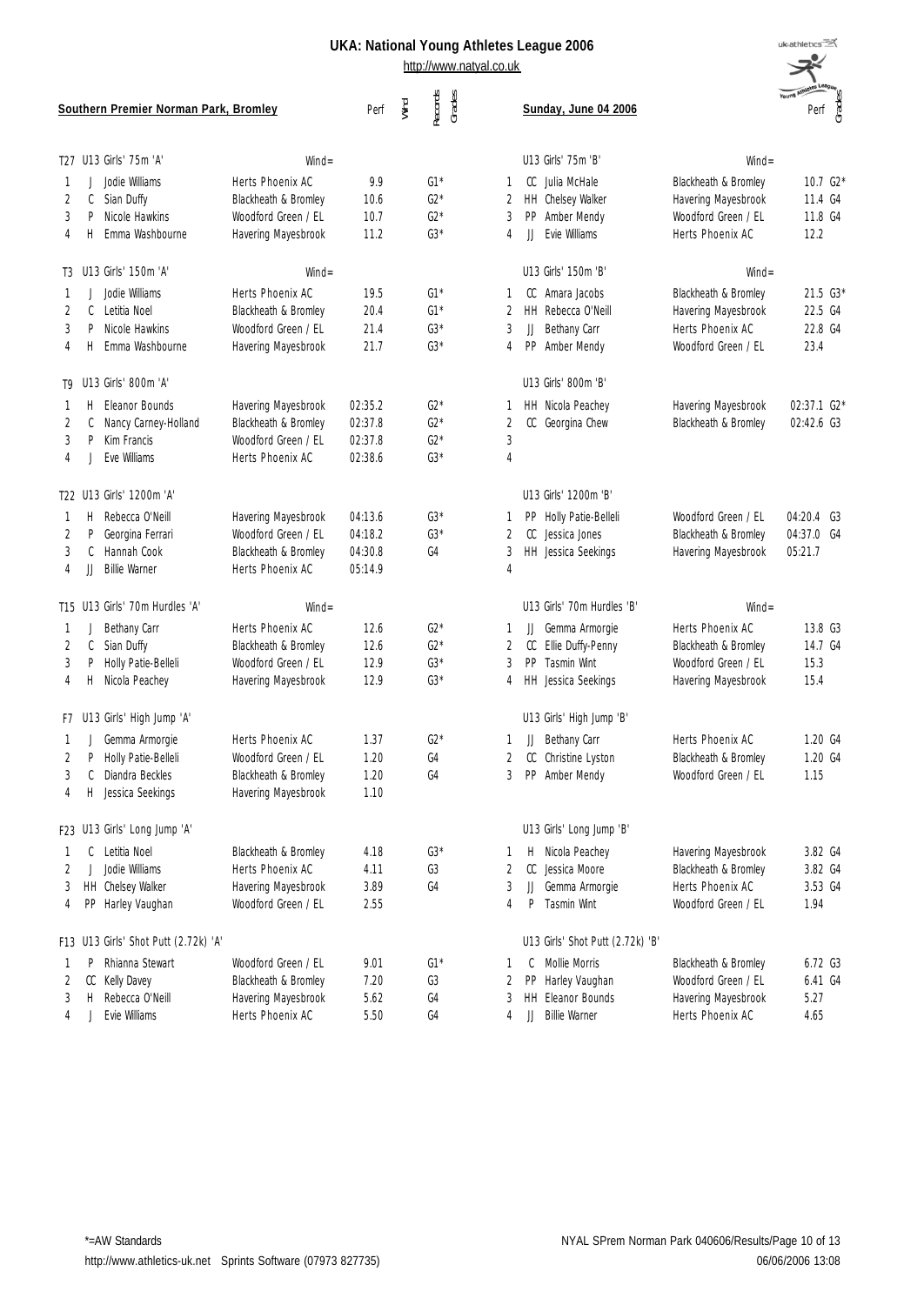| <b>Southern Premier Norman Park, Bromley</b> |         |                                                |                                                                 | Perf                | Wind | Records<br>Grades       |                | Sunday, June 04 2006                                      |                                                                    | Young Am<br>Perf ges              |
|----------------------------------------------|---------|------------------------------------------------|-----------------------------------------------------------------|---------------------|------|-------------------------|----------------|-----------------------------------------------------------|--------------------------------------------------------------------|-----------------------------------|
|                                              |         | T27 U13 Girls' 75m 'A'                         | $Wind =$                                                        |                     |      |                         |                | U13 Girls' 75m 'B'                                        | $Wind =$                                                           |                                   |
| 2<br>3                                       | C<br>P  | Jodie Williams<br>Sian Duffy<br>Nicole Hawkins | Herts Phoenix AC<br>Blackheath & Bromley<br>Woodford Green / EL | 9.9<br>10.6<br>10.7 |      | $G1*$<br>$G2*$<br>$G2*$ | 1<br>2<br>3    | CC<br>Julia McHale<br>HH Chelsey Walker<br>PP Amber Mendy | Blackheath & Bromley<br>Havering Mayesbrook<br>Woodford Green / EL | $10.7\,G2*$<br>11.4 G4<br>11.8 G4 |
| 4                                            | H.      | Emma Washbourne                                | Havering Mayesbrook                                             | 11.2                |      | $G3*$                   | 4              | Evie Williams<br>JJ                                       | Herts Phoenix AC                                                   | 12.2                              |
|                                              |         | T3 U13 Girls' 150m 'A'                         | $Wind =$                                                        |                     |      |                         |                | U13 Girls' 150m 'B'                                       | $Wind =$                                                           |                                   |
|                                              |         | Jodie Williams                                 | Herts Phoenix AC                                                | 19.5                |      | $G1*$                   | 1              | Amara Jacobs<br>CC.                                       | Blackheath & Bromley                                               | 21.5 G3*                          |
| 2                                            | C       | Letitia Noel                                   | Blackheath & Bromley                                            | 20.4                |      | $G1*$                   | 2              | HH Rebecca O'Neill                                        | Havering Mayesbrook                                                | 22.5 G4                           |
| 3                                            | P       | Nicole Hawkins                                 | Woodford Green / EL                                             | 21.4                |      | $G3*$                   | 3              | Bethany Carr<br>JJ                                        | Herts Phoenix AC                                                   | 22.8 G4                           |
| 4                                            | Н.      | Emma Washbourne                                | Havering Mayesbrook                                             | 21.7                |      | $G3*$                   | 4              | PP Amber Mendy                                            | Woodford Green / EL                                                | 23.4                              |
|                                              |         | T9 U13 Girls' 800m 'A'                         |                                                                 |                     |      |                         |                | U13 Girls' 800m 'B'                                       |                                                                    |                                   |
|                                              | Н.      | Eleanor Bounds                                 | Havering Mayesbrook                                             | 02:35.2             |      | $G2*$                   | 1              | HH Nicola Peachey                                         | Havering Mayesbrook                                                | 02:37.1 G2*                       |
| 2                                            | C       | Nancy Carney-Holland                           | Blackheath & Bromley                                            | 02:37.8             |      | $G2*$                   | 2              | CC Georgina Chew                                          | Blackheath & Bromley                                               | 02:42.6 G3                        |
| 3                                            | P       | Kim Francis                                    | Woodford Green / EL                                             | 02:37.8             |      | $G2*$                   | 3              |                                                           |                                                                    |                                   |
| 4                                            |         | Fve Williams                                   | Herts Phoenix AC                                                | 02:38.6             |      | $G3*$                   | $\overline{4}$ |                                                           |                                                                    |                                   |
|                                              |         | T22 U13 Girls' 1200m 'A'                       |                                                                 |                     |      |                         |                | U13 Girls' 1200m 'B'                                      |                                                                    |                                   |
| 1                                            | Н.      | Rebecca O'Neill                                | Havering Mayesbrook                                             | 04:13.6             |      | $G3*$                   | 1              | Holly Patie-Belleli<br>PP.                                | Woodford Green / EL                                                | 04:20.4 G3                        |
| 2                                            | P       | Georgina Ferrari                               | Woodford Green / EL                                             | 04:18.2             |      | $G3*$                   | 2              | CC<br>Jessica Jones                                       | Blackheath & Bromley                                               | 04:37.0 G4                        |
| 3                                            | C       | Hannah Cook                                    | Blackheath & Bromley                                            | 04:30.8             |      | G4                      | 3              | HH Jessica Seekings                                       | Havering Mayesbrook                                                | 05:21.7                           |
| 4                                            | JJ      | <b>Billie Warner</b>                           | Herts Phoenix AC                                                | 05:14.9             |      |                         | $\overline{4}$ |                                                           |                                                                    |                                   |
|                                              |         | T15 U13 Girls' 70m Hurdles 'A'                 | $Wind =$                                                        |                     |      |                         |                | U13 Girls' 70m Hurdles 'B'                                | $Wind =$                                                           |                                   |
| 1                                            |         | Bethany Carr                                   | Herts Phoenix AC                                                | 12.6                |      | $G2*$                   | 1              | Gemma Armorgie<br>JJ                                      | Herts Phoenix AC                                                   | 13.8 G3                           |
| 2                                            | C       | Sian Duffy                                     | Blackheath & Bromley                                            | 12.6                |      | $G2*$                   | 2              | Ellie Duffy-Penny<br>CC                                   | Blackheath & Bromley                                               | 14.7 G4                           |
| 3                                            | P       | Holly Patie-Belleli                            | Woodford Green / EL                                             | 12.9                |      | $G3*$                   | 3              | PP Tasmin Wint                                            | Woodford Green / EL                                                | 15.3                              |
| 4                                            | H       | Nicola Peachey                                 | Havering Mayesbrook                                             | 12.9                |      | $G3*$                   | 4              | HH Jessica Seekings                                       | Havering Mayesbrook                                                | 15.4                              |
|                                              |         | F7 U13 Girls' High Jump 'A'                    |                                                                 |                     |      |                         |                | U13 Girls' High Jump 'B'                                  |                                                                    |                                   |
|                                              | J       | Gemma Armorgie                                 | Herts Phoenix AC                                                | 1.37                |      | $G2*$                   | 1              | Bethany Carr<br>JJ                                        | Herts Phoenix AC                                                   | 1.20 G4                           |
| 2                                            | P       | Holly Patie-Belleli                            | Woodford Green / EL                                             | 1.20                |      | G4                      | 2              | Christine Lyston<br>CC                                    | Blackheath & Bromley                                               | 1.20 G4                           |
| 3                                            | C       | Diandra Beckles                                | Blackheath & Bromley                                            | 1.20                |      | G4                      | 3              | PP Amber Mendy                                            | Woodford Green / EL                                                | 1.15                              |
| 4                                            |         | H Jessica Seekings                             | Havering Mayesbrook                                             | 1.10                |      |                         |                |                                                           |                                                                    |                                   |
|                                              |         | F23 U13 Girls' Long Jump 'A'                   |                                                                 |                     |      |                         |                | U13 Girls' Long Jump 'B'                                  |                                                                    |                                   |
| 1                                            | C       | Letitia Noel                                   | Blackheath & Bromley                                            | 4.18                |      | $G3*$                   | 1              | Nicola Peachey<br>H                                       | Havering Mayesbrook                                                | 3.82 G4                           |
| 2                                            | $\perp$ | Jodie Williams                                 | Herts Phoenix AC                                                | 4.11                |      | G3                      | 2              | CC Jessica Moore                                          | Blackheath & Bromley                                               | 3.82 G4                           |
| 3                                            |         | HH Chelsey Walker                              | Havering Mayesbrook                                             | 3.89                |      | G4                      | 3              | Gemma Armorgie<br>JJ                                      | Herts Phoenix AC                                                   | 3.53 G4                           |
| 4                                            |         | PP Harley Vaughan                              | Woodford Green / EL                                             | 2.55                |      |                         | 4              | P<br><b>Tasmin Wint</b>                                   | Woodford Green / EL                                                | 1.94                              |
|                                              |         | F13 U13 Girls' Shot Putt (2.72k) 'A'           |                                                                 |                     |      |                         |                | U13 Girls' Shot Putt (2.72k) 'B'                          |                                                                    |                                   |
| 1                                            | P       | Rhianna Stewart                                | Woodford Green / EL                                             | 9.01                |      | $G1*$                   | 1              | C<br>Mollie Morris                                        | Blackheath & Bromley                                               | 6.72 G3                           |
| 2                                            | CC      | Kelly Davey                                    | Blackheath & Bromley                                            | 7.20                |      | G3                      | 2              | Harley Vaughan<br>PP                                      | Woodford Green / EL                                                | 6.41 G4                           |
| 3                                            | Н.      | Rebecca O'Neill                                | Havering Mayesbrook                                             | 5.62                |      | G4                      | 3              | HH Eleanor Bounds                                         | Havering Mayesbrook                                                | 5.27                              |
| 4                                            |         | Evie Williams                                  | Herts Phoenix AC                                                | 5.50                |      | G4                      | 4              | <b>Billie Warner</b><br>JJ                                | Herts Phoenix AC                                                   | 4.65                              |

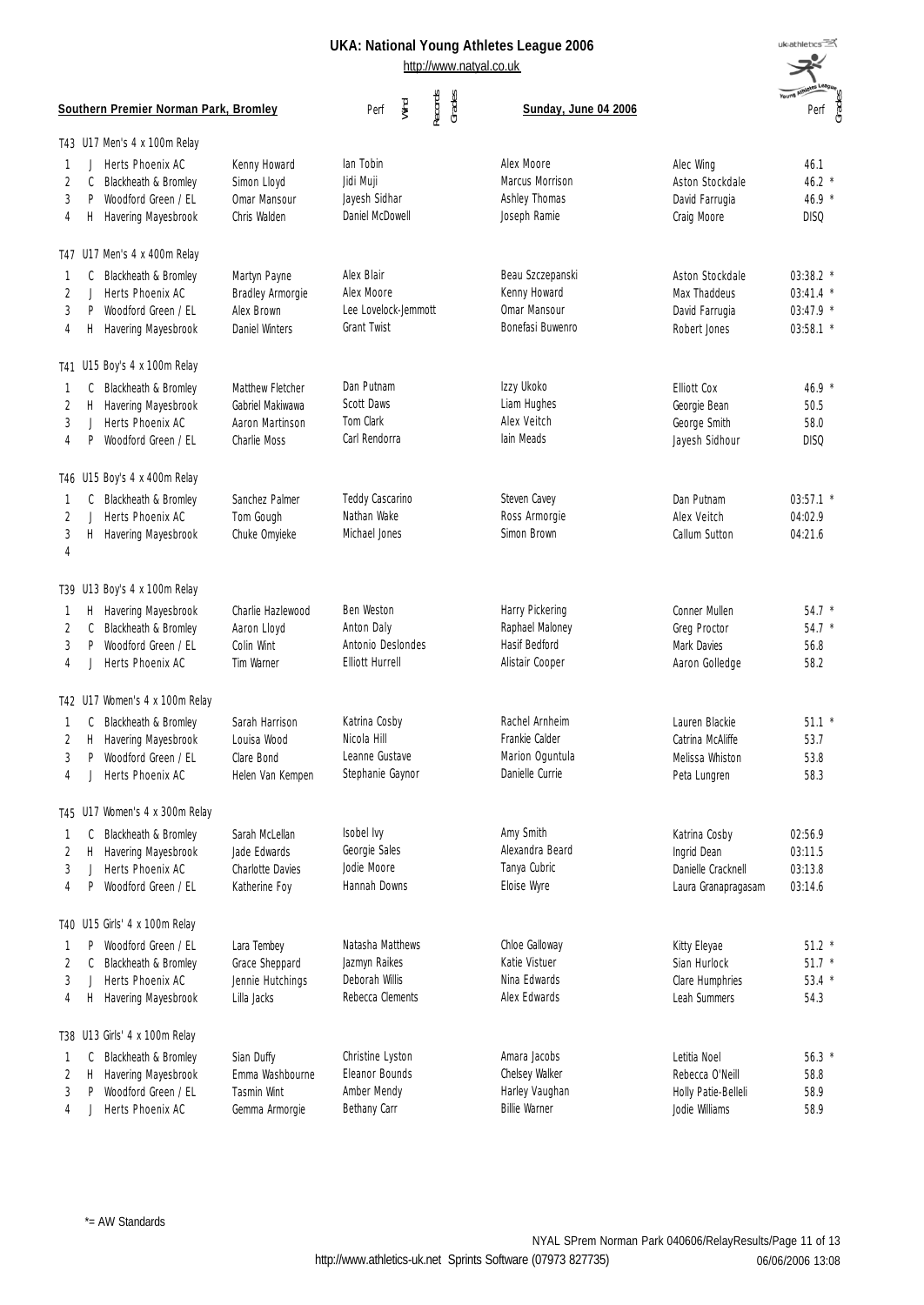uk<sub>athletics</sub>

|                   |                         |                                                                                            |                                                                                | http://www.natyal.co.uk                                                        |                                                                          |                                                                           |                                                      |
|-------------------|-------------------------|--------------------------------------------------------------------------------------------|--------------------------------------------------------------------------------|--------------------------------------------------------------------------------|--------------------------------------------------------------------------|---------------------------------------------------------------------------|------------------------------------------------------|
|                   |                         | Southern Premier Norman Park, Bromley                                                      |                                                                                | Records<br>Grades<br>Wind<br>Perf                                              | Sunday, June 04 2006                                                     |                                                                           | Perf<br>Grades                                       |
|                   |                         | T43 U17 Men's 4 x 100m Relay                                                               |                                                                                |                                                                                |                                                                          |                                                                           |                                                      |
| 1.<br>2<br>3<br>4 | $\perp$<br>C<br>P<br>Н. | Herts Phoenix AC<br>Blackheath & Bromley<br>Woodford Green / EL<br>Havering Mayesbrook     | Kenny Howard<br>Simon Lloyd<br>Omar Mansour<br>Chris Walden                    | lan Tobin<br>Jidi Muji<br>Jayesh Sidhar<br>Daniel McDowell                     | Alex Moore<br>Marcus Morrison<br>Ashley Thomas<br>Joseph Ramie           | Alec Wing<br>Aston Stockdale<br>David Farrugia<br>Craig Moore             | 46.1<br>$46.2$ *<br>46.9 *<br><b>DISQ</b>            |
|                   |                         | T47 U17 Men's 4 x 400m Relay                                                               |                                                                                |                                                                                |                                                                          |                                                                           |                                                      |
| 1<br>2<br>3<br>4  | C<br>J<br>P<br>H        | Blackheath & Bromley<br>Herts Phoenix AC<br>Woodford Green / EL<br>Havering Mayesbrook     | Martyn Payne<br>Bradley Armorgie<br>Alex Brown<br>Daniel Winters               | Alex Blair<br>Alex Moore<br>Lee Lovelock-Jemmott<br>Grant Twist                | Beau Szczepanski<br>Kenny Howard<br>Omar Mansour<br>Bonefasi Buwenro     | Aston Stockdale<br>Max Thaddeus<br>David Farrugia<br>Robert Jones         | 03:38.2 *<br>$03:41.4$ *<br>03:47.9 *<br>$03:58.1$ * |
|                   |                         | T41 U15 Boy's 4 x 100m Relay                                                               |                                                                                |                                                                                |                                                                          |                                                                           |                                                      |
| 1<br>2<br>3<br>4  | Н.<br>J<br>P            | C Blackheath & Bromley<br>Havering Mayesbrook<br>Herts Phoenix AC<br>Woodford Green / EL   | <b>Matthew Fletcher</b><br>Gabriel Makiwawa<br>Aaron Martinson<br>Charlie Moss | Dan Putnam<br><b>Scott Daws</b><br>Tom Clark<br>Carl Rendorra                  | Izzy Ukoko<br>Liam Hughes<br>Alex Veitch<br>lain Meads                   | <b>Elliott Cox</b><br>Georgie Bean<br>George Smith<br>Jayesh Sidhour      | $46.9*$<br>50.5<br>58.0<br><b>DISQ</b>               |
|                   |                         | T46 U15 Boy's 4 x 400m Relay                                                               |                                                                                |                                                                                |                                                                          |                                                                           |                                                      |
| -1<br>2<br>3<br>4 | C<br>J.<br>Η.           | Blackheath & Bromley<br>Herts Phoenix AC<br>Havering Mayesbrook                            | Sanchez Palmer<br>Tom Gough<br>Chuke Omyieke                                   | Teddy Cascarino<br>Nathan Wake<br>Michael Jones                                | Steven Cavey<br>Ross Armorgie<br>Simon Brown                             | Dan Putnam<br>Alex Veitch<br>Callum Sutton                                | $03:57.1$ *<br>04:02.9<br>04:21.6                    |
|                   |                         | T39 U13 Boy's 4 x 100m Relay                                                               |                                                                                |                                                                                |                                                                          |                                                                           |                                                      |
| 1<br>2<br>3<br>4  | C<br>P                  | H Havering Mayesbrook<br>Blackheath & Bromley<br>Woodford Green / EL<br>Herts Phoenix AC   | Charlie Hazlewood<br>Aaron Lloyd<br>Colin Wint<br>Tim Warner                   | <b>Ben Weston</b><br>Anton Daly<br>Antonio Deslondes<br><b>Elliott Hurrell</b> | Harry Pickering<br>Raphael Maloney<br>Hasif Bedford<br>Alistair Cooper   | Conner Mullen<br>Greg Proctor<br>Mark Davies<br>Aaron Golledge            | $54.7 *$<br>$54.7 *$<br>56.8<br>58.2                 |
|                   |                         | T42 U17 Women's 4 x 100m Relay                                                             |                                                                                |                                                                                |                                                                          |                                                                           |                                                      |
| 3<br>4            | P                       | C Blackheath & Bromley<br>H Havering Mayesbrook<br>Woodford Green / EL<br>Herts Phoenix AC | Sarah Harrison<br>Louisa Wood<br>Clare Bond<br>Helen Van Kempen                | Katrina Cosby<br>Nicola Hill<br>Leanne Gustave<br>Stephanie Gaynor             | Rachel Arnheim<br>Frankie Calder<br>Marion Oguntula<br>Danielle Currie   | Lauren Blackie<br>Catrina McAliffe<br>Melissa Whiston<br>Peta Lungren     | $51.1$ *<br>53.7<br>53.8<br>58.3                     |
|                   |                         | T45 U17 Women's 4 x 300m Relay                                                             |                                                                                |                                                                                |                                                                          |                                                                           |                                                      |
| -1<br>2<br>3<br>4 | C<br>Н.<br>P            | Blackheath & Bromley<br>Havering Mayesbrook<br>Herts Phoenix AC<br>Woodford Green / EL     | Sarah McLellan<br>Jade Fdwards<br>Charlotte Davies<br>Katherine Foy            | Isobel Ivy<br>Georgie Sales<br>Jodie Moore<br>Hannah Downs                     | Amy Smith<br>Alexandra Beard<br>Tanya Cubric<br>Eloise Wyre              | Katrina Cosby<br>Ingrid Dean<br>Danielle Cracknell<br>Laura Granapragasam | 02:56.9<br>03:11.5<br>03:13.8<br>03:14.6             |
|                   |                         | T40 U15 Girls' 4 x 100m Relay                                                              |                                                                                |                                                                                |                                                                          |                                                                           |                                                      |
| 1<br>2<br>3<br>4  | P<br>C<br>-1<br>H       | Woodford Green / EL<br>Blackheath & Bromley<br>Herts Phoenix AC<br>Havering Mayesbrook     | Lara Tembey<br>Grace Sheppard<br>Jennie Hutchings<br>Lilla Jacks               | Natasha Matthews<br>Jazmyn Raikes<br>Deborah Willis<br>Rebecca Clements        | Chloe Galloway<br>Katie Vistuer<br>Nina Edwards<br>Alex Edwards          | Kitty Eleyae<br>Sian Hurlock<br>Clare Humphries<br>Leah Summers           | $51.2$ *<br>$51.7*$<br>$53.4$ *<br>54.3              |
|                   |                         | T38 U13 Girls' 4 x 100m Relay                                                              |                                                                                |                                                                                |                                                                          |                                                                           |                                                      |
| 1<br>2<br>3<br>4  | C<br>Н.<br>P            | Blackheath & Bromley<br>Havering Mayesbrook<br>Woodford Green / EL<br>Herts Phoenix AC     | Sian Duffy<br>Emma Washbourne<br>Tasmin Wint<br>Gemma Armorgie                 | Christine Lyston<br>Eleanor Bounds<br>Amber Mendy<br>Bethany Carr              | Amara Jacobs<br>Chelsey Walker<br>Harley Vaughan<br><b>Billie Warner</b> | Letitia Noel<br>Rebecca O'Neill<br>Holly Patie-Belleli<br>Jodie Williams  | $56.3*$<br>58.8<br>58.9<br>58.9                      |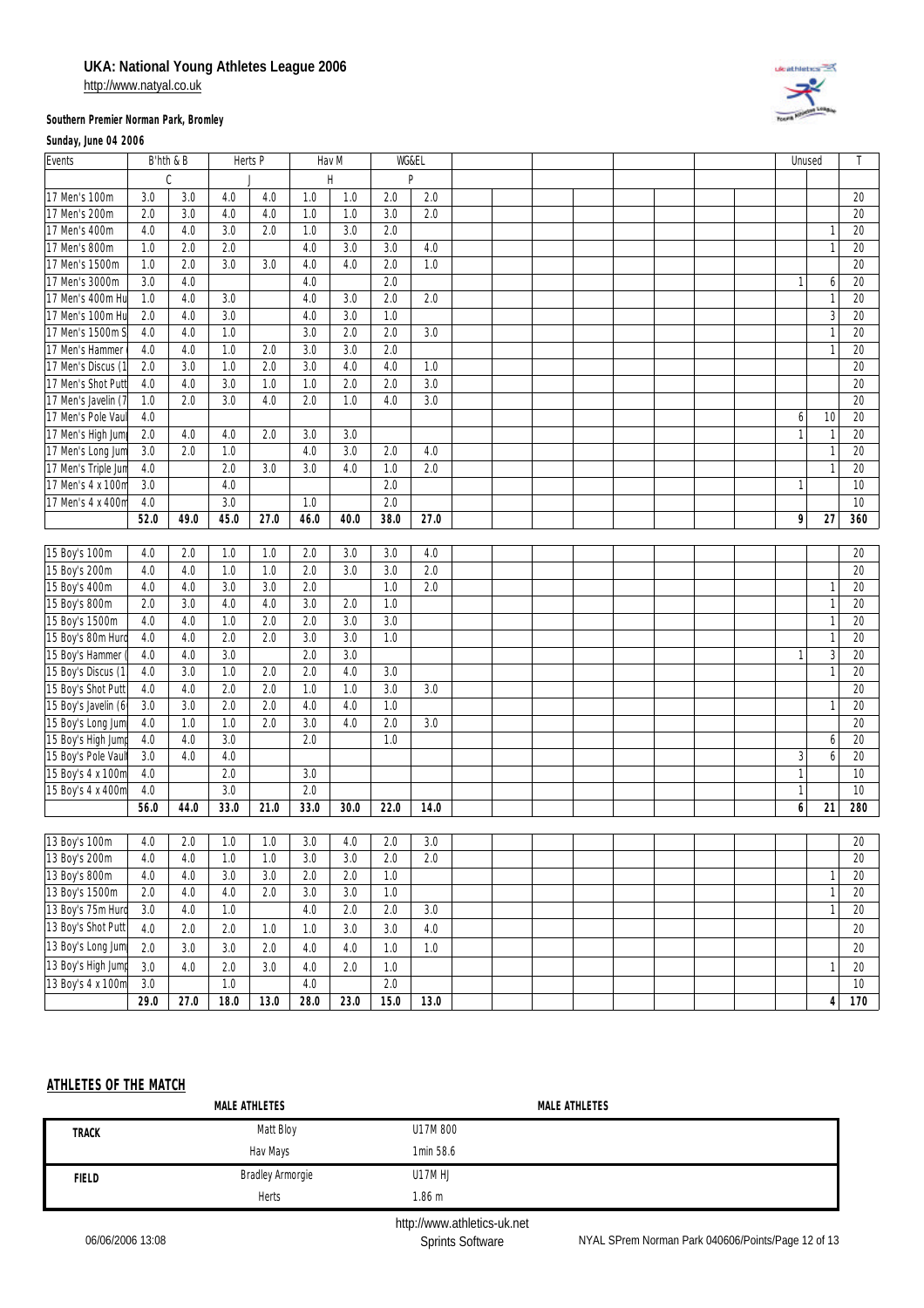http://www.natyal.co.uk

# **Description of the American**

#### **Southern Premier Norman Park, Bromley**

#### **Sunday, June 04 2006**

| Events              | B'hth & B |               |      | Herts P |      | Hav M        | WG&EL |      |  |  |  |              | Unused       |        |
|---------------------|-----------|---------------|------|---------|------|--------------|-------|------|--|--|--|--------------|--------------|--------|
|                     |           | $\mathcal{C}$ |      |         |      | $\mathsf{H}$ |       | P    |  |  |  |              |              |        |
| 17 Men's 100m       | 3.0       | 3.0           | 4.0  | 4.0     | 1.0  | 1.0          | 2.0   | 2.0  |  |  |  |              |              | 20     |
| 17 Men's 200m       | 2.0       | 3.0           | 4.0  | 4.0     | 1.0  | 1.0          | 3.0   | 2.0  |  |  |  |              |              | 20     |
| 17 Men's 400m       | 4.0       | 4.0           | 3.0  | 2.0     | 1.0  | 3.0          | 2.0   |      |  |  |  |              | $\mathbf{1}$ | 20     |
| 17 Men's 800m       | 1.0       | 2.0           | 2.0  |         | 4.0  | 3.0          | 3.0   | 4.0  |  |  |  |              | $\mathbf{1}$ | 20     |
| 17 Men's 1500m      | 1.0       | 2.0           | 3.0  | 3.0     | 4.0  | 4.0          | 2.0   | 1.0  |  |  |  |              |              | 20     |
| 17 Men's 3000m      | 3.0       | 4.0           |      |         | 4.0  |              | 2.0   |      |  |  |  | $\mathbf{1}$ | 6            | 20     |
| 17 Men's 400m Hu    | 1.0       | 4.0           | 3.0  |         | 4.0  | 3.0          | 2.0   | 2.0  |  |  |  |              | $\mathbf{1}$ | 20     |
| 17 Men's 100m Hu    | 2.0       | 4.0           | 3.0  |         | 4.0  | 3.0          | 1.0   |      |  |  |  |              | $\sqrt{3}$   | 20     |
| 17 Men's 1500m S    | 4.0       | 4.0           | 1.0  |         | 3.0  | 2.0          | 2.0   | 3.0  |  |  |  |              | $\mathbf{1}$ | 20     |
| 17 Men's Hammer     | 4.0       | 4.0           | 1.0  | 2.0     | 3.0  | 3.0          | 2.0   |      |  |  |  |              | $\mathbf{1}$ | 20     |
| 17 Men's Discus (1  | 2.0       | 3.0           | 1.0  | 2.0     | 3.0  | 4.0          | 4.0   | 1.0  |  |  |  |              |              | 20     |
| 17 Men's Shot Put   | 4.0       | 4.0           | 3.0  | 1.0     | 1.0  | 2.0          | 2.0   | 3.0  |  |  |  |              |              | 20     |
| 17 Men's Javelin (  | 1.0       | 2.0           | 3.0  | 4.0     | 2.0  | 1.0          | 4.0   | 3.0  |  |  |  |              |              | 20     |
| 17 Men's Pole Vau   | 4.0       |               |      |         |      |              |       |      |  |  |  | 6            | 10           | 20     |
| 17 Men's High Jum   | 2.0       | 4.0           | 4.0  | 2.0     | 3.0  | 3.0          |       |      |  |  |  | $\mathbf{1}$ | $\mathbf{1}$ | 20     |
| 17 Men's Long Jun   | 3.0       | 2.0           | 1.0  |         | 4.0  | 3.0          | 2.0   | 4.0  |  |  |  |              | $\mathbf{1}$ | 20     |
| 17 Men's Triple Jur | 4.0       |               | 2.0  | 3.0     | 3.0  | 4.0          | 1.0   | 2.0  |  |  |  |              | $\mathbf{1}$ | 20     |
| 17 Men's 4 x 100n   | 3.0       |               | 4.0  |         |      |              | 2.0   |      |  |  |  |              |              | 10     |
| 17 Men's 4 x 400n   | 4.0       |               | 3.0  |         | 1.0  |              | 2.0   |      |  |  |  |              |              | $10$   |
|                     | 52.0      | 49.0          | 45.0 | 27.0    | 46.0 | 40.0         | 38.0  | 27.0 |  |  |  | 9            | 27           | 360    |
|                     |           |               |      |         |      |              |       |      |  |  |  |              |              |        |
| 15 Boy's 100m       | 4.0       | 2.0           | 1.0  | 1.0     | 2.0  | 3.0          | 3.0   | 4.0  |  |  |  |              |              | 20     |
| 15 Boy's 200m       | 4.0       | 4.0           | 1.0  | 1.0     | 2.0  | 3.0          | 3.0   | 2.0  |  |  |  |              |              | 20     |
| 15 Boy's 400m       | 4.0       | 4.0           | 3.0  | 3.0     | 2.0  |              | 1.0   | 2.0  |  |  |  |              | $\mathbf{1}$ | 20     |
| 15 Boy's 800m       | 2.0       | 3.0           | 4.0  | 4.0     | 3.0  | 2.0          | 1.0   |      |  |  |  |              | $\mathbf{1}$ | 20     |
| 15 Boy's 1500m      | 4.0       | 4.0           | 1.0  | 2.0     | 2.0  | 3.0          | 3.0   |      |  |  |  |              | $\mathbf{1}$ | 20     |
| 15 Boy's 80m Hur    | 4.0       | 4.0           | 2.0  | 2.0     | 3.0  | 3.0          | 1.0   |      |  |  |  |              | $\mathbf{1}$ | 20     |
| 15 Boy's Hammer     | 4.0       | 4.0           | 3.0  |         | 2.0  | 3.0          |       |      |  |  |  | -1           | $\sqrt{3}$   | 20     |
| 15 Boy's Discus (1  | 4.0       | 3.0           | 1.0  | 2.0     | 2.0  | 4.0          | 3.0   |      |  |  |  |              | $\mathbf{1}$ | 20     |
| 15 Boy's Shot Putt  | 4.0       | 4.0           | 2.0  | 2.0     | 1.0  | 1.0          | 3.0   | 3.0  |  |  |  |              |              | 20     |
| 15 Boy's Javelin (6 | 3.0       | 3.0           | 2.0  | 2.0     | 4.0  | 4.0          | 1.0   |      |  |  |  |              | $\mathbf{1}$ | 20     |
| 15 Boy's Long Jum   | 4.0       | 1.0           | 1.0  | 2.0     | 3.0  | 4.0          | 2.0   | 3.0  |  |  |  |              |              | 20     |
| 15 Boy's High Jum   | 4.0       | 4.0           | 3.0  |         | 2.0  |              | 1.0   |      |  |  |  |              | 6            | 20     |
| 15 Boy's Pole Vaul  | 3.0       | 4.0           | 4.0  |         |      |              |       |      |  |  |  | 3            | 6            | 20     |
| 15 Boy's 4 x 100m   | 4.0       |               | 2.0  |         | 3.0  |              |       |      |  |  |  | $\mathbf{1}$ |              | 10     |
| 15 Boy's 4 x 400m   | 4.0       |               | 3.0  |         | 2.0  |              |       |      |  |  |  | $\mathbf{1}$ |              | 10     |
|                     | 56.0      | 44.0          | 33.0 | 21.0    | 33.0 | 30.0         | 22.0  | 14.0 |  |  |  | 6            | 21           | 280    |
|                     |           |               |      |         |      |              |       |      |  |  |  |              |              |        |
| 13 Boy's 100m       | 4.0       | 2.0           | 1.0  | 1.0     | 3.0  | 4.0          | 2.0   | 3.0  |  |  |  |              |              | 20     |
| 13 Boy's 200m       | 4.0       | 4.0           | 1.0  | 1.0     | 3.0  | 3.0          | 2.0   | 2.0  |  |  |  |              |              | 20     |
| 13 Boy's 800m       | 4.0       | 4.0           | 3.0  | 3.0     | 2.0  | 2.0          | 1.0   |      |  |  |  |              | $\mathbf{1}$ | 20     |
| 13 Boy's 1500m      | 2.0       | 4.0           | 4.0  | 2.0     | 3.0  | $3.0\,$      | 1.0   |      |  |  |  |              | $\mathbf{1}$ | $20\,$ |
| 13 Boy's 75m Huro   | 3.0       | 4.0           | 1.0  |         | 4.0  | 2.0          | 2.0   | 3.0  |  |  |  |              | $\mathbf{1}$ | $20\,$ |
| 13 Boy's Shot Putt  | 4.0       | 2.0           | 2.0  | 1.0     | 1.0  | 3.0          | 3.0   | 4.0  |  |  |  |              |              | 20     |
| 13 Boy's Long Jum   | 2.0       | 3.0           | 3.0  | 2.0     | 4.0  | 4.0          | 1.0   | 1.0  |  |  |  |              |              | 20     |
| 13 Boy's High Jump  | 3.0       | 4.0           | 2.0  | 3.0     | 4.0  | 2.0          | 1.0   |      |  |  |  |              | $\mathbf{1}$ | $20\,$ |
| 13 Boy's 4 x 100m   | 3.0       |               | 1.0  |         | 4.0  |              | 2.0   |      |  |  |  |              |              | 10     |
|                     | 29.0      | 27.0          | 18.0 | 13.0    | 28.0 | 23.0         | 15.0  | 13.0 |  |  |  |              | 4            | 170    |
|                     |           |               |      |         |      |              |       |      |  |  |  |              |              |        |

## **ATHLETES OF THE MATCH**

| Matt Bloy<br>U17M 800<br><b>TRACK</b><br>1min 58.6<br>Hav Mays<br><b>Bradley Armorgie</b><br>U17M HJ<br><b>FIELD</b> | MALE ATHLETES | <b>MALE ATHLETES</b> |  |
|----------------------------------------------------------------------------------------------------------------------|---------------|----------------------|--|
|                                                                                                                      |               |                      |  |
|                                                                                                                      |               |                      |  |
|                                                                                                                      |               |                      |  |
|                                                                                                                      | Herts         | 1.86 m               |  |